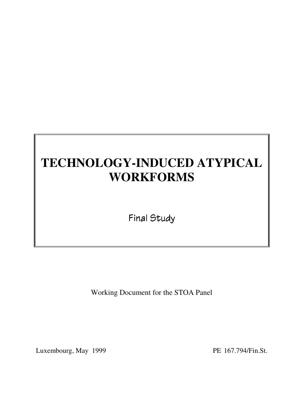# **TECHNOLOGY-INDUCED ATYPICAL WORKFORMS**

Final Study

Working Document for the STOA Panel

Luxembourg, May 1999 PE 167.794/Fin.St.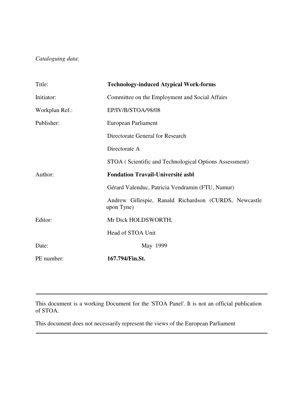# *Cataloguing data*:

| Title:         | <b>Technology-induced Atypical Work-forms</b>                       |  |
|----------------|---------------------------------------------------------------------|--|
| Initiator:     | Committee on the Employment and Social Affairs                      |  |
| Workplan Ref.: | EP/IV/B/STOA/98/08                                                  |  |
| Publisher:     | European Parliament                                                 |  |
|                | Directorate General for Research                                    |  |
|                | Directorate A                                                       |  |
|                | STOA (Scientific and Technological Options Assessment)              |  |
| Author:        | <b>Fondation Travail-Université asbl</b>                            |  |
|                | Gérard Valenduc, Patricia Vendramin (FTU, Namur)                    |  |
|                | Andrew Gillespie, Ranald Richardson (CURDS, Newcastle<br>upon Tyne) |  |
| Editor:        | Mr Dick HOLDSWORTH,                                                 |  |
|                | Head of STOA Unit                                                   |  |
| Date:          | May 1999                                                            |  |
| PE number:     | 167.794/Fin.St.                                                     |  |

This document is a working Document for the 'STOA Panel'. It is not an official publication of STOA.

This document does not necessarily represent the views of the European Parliament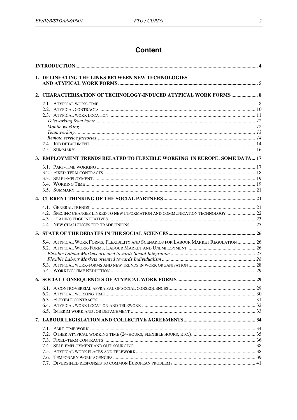# **Content**

| 1. DELINEATING THE LINKS BETWEEN NEW TECHNOLOGIES                                    |  |
|--------------------------------------------------------------------------------------|--|
| 2. CHARACTERISATION OF TECHNOLOGY-INDUCED ATYPICAL WORK FORMS 8                      |  |
|                                                                                      |  |
| 3. EMPLOYMENT TRENDS RELATED TO FLEXIBLE WORKING IN EUROPE: SOME DATA 17             |  |
|                                                                                      |  |
|                                                                                      |  |
| 4.2. SPECIFIC CHANGES LINKED TO NEW INFORMATION AND COMMUNICATION TECHNOLOGY  22     |  |
|                                                                                      |  |
| 5.4. ATYPICAL WORK FORMS, FLEXIBILITY AND SCENARIOS FOR LABOUR MARKET REGULATION  26 |  |
|                                                                                      |  |
|                                                                                      |  |
|                                                                                      |  |
|                                                                                      |  |
|                                                                                      |  |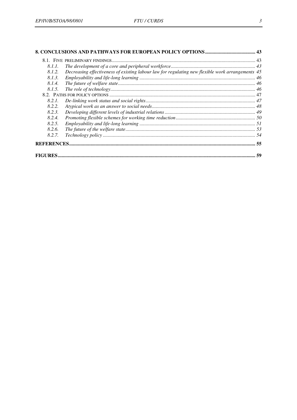| 8.1.1. |                                                                                                  |  |
|--------|--------------------------------------------------------------------------------------------------|--|
| 8.1.2. | Decreasing effectiveness of existing labour law for regulating new flexible work arrangements 45 |  |
| 8.1.3. |                                                                                                  |  |
| 8.1.4. |                                                                                                  |  |
| 8.1.5. |                                                                                                  |  |
|        |                                                                                                  |  |
| 8.2.1. |                                                                                                  |  |
| 8.2.2. |                                                                                                  |  |
| 8.2.3. |                                                                                                  |  |
| 8.2.4. |                                                                                                  |  |
| 8.2.5. |                                                                                                  |  |
| 8.2.6. |                                                                                                  |  |
| 8.2.7. |                                                                                                  |  |
|        |                                                                                                  |  |
|        |                                                                                                  |  |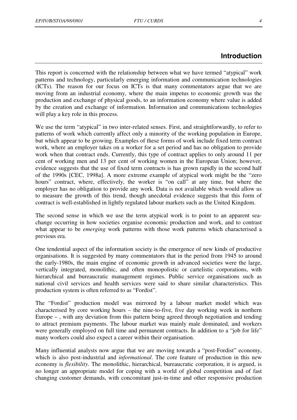# **Introduction**

<span id="page-4-0"></span>This report is concerned with the relationship between what we have termed "atypical" work patterns and technology, particularly emerging information and communication technologies (ICTs). The reason for our focus on ICTs is that many commentators argue that we are moving from an industrial economy, where the main impetus to economic growth was the production and exchange of physical goods, to an information economy where value is added by the creation and exchange of information. Information and communications technologies will play a key role in this process.

We use the term "atypical" in two inter-related senses. First, and straightforwardly, to refer to patterns of work which currently affect only a minority of the working population in Europe, but which appear to be growing. Examples of these forms of work include fixed term contract work, where an employer takes on a worker for a set period and has no obligation to provide work when that contract ends. Currently, this type of contract applies to only around 11 per cent of working men and 13 per cent of working women in the European Union; however, evidence suggests that the use of fixed term contracts is has grown rapidly in the second half of the 1990s [CEC, 1998a]. A more extreme example of atypical work might be the "zero hours" contract, where, effectively, the worker is "on call" at any time, but where the employer has no obligation to provide any work. Data is not available which would allow us to measure the growth of this trend, though anecdotal evidence suggests that this form of contract is well-established in lightly regulated labour markets such as the United Kingdom.

The second sense in which we use the term atypical work is to point to an apparent seachange occurring in how societies organise economic production and work, and to contrast what appear to be *emerging* work patterns with those work patterns which characterised a previous era.

One tendential aspect of the information society is the emergence of new kinds of productive organisations. It is suggested by many commentators that in the period from 1945 to around the early-1980s, the main engine of economic growth in advanced societies were the large, vertically integrated, monolithic, and often monopolistic or cartelistic corporations, with hierarchical and bureaucratic management regimes. Public service organisations such as national civil services and health services were said to share similar characteristics. This production system is often referred to as "Fordist".

The "Fordist" production model was mirrored by a labour market model which was characterised by core working hours – the nine-to-five, five day working week in northern Europe – , with any deviation from this pattern being agreed through negotiation and tending to attract premium payments. The labour market was mainly male dominated, and workers were generally employed on full time and permanent contracts. In addition to a "job for life" many workers could also expect a career within their organisation.

Many influential analysts now argue that we are moving towards a "post-Fordist" economy, which is also post-industrial and *informational*. The core feature of production in this new economy is *flexibility*. The monolithic, hierarchical, bureaucratic corporation, it is argued, is no longer an appropriate model for coping with a world of global competition and of fast changing customer demands, with concomitant just-in-time and other responsive production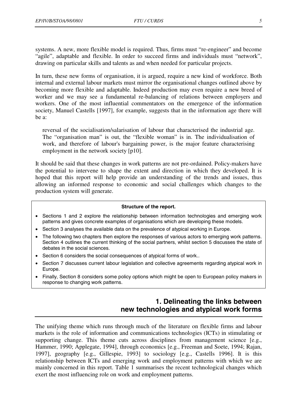<span id="page-5-0"></span>systems. A new, more flexible model is required. Thus, firms must "re-engineer" and become "agile", adaptable and flexible. In order to succeed firms and individuals must "network", drawing on particular skills and talents as and when needed for particular projects.

In turn, these new forms of organisation, it is argued, require a new kind of workforce. Both internal and external labour markets must mirror the organisational changes outlined above by becoming more flexible and adaptable. Indeed production may even require a new breed of worker and we may see a fundamental re-balancing of relations between employers and workers. One of the most influential commentators on the emergence of the information society, Manuel Castells [1997], for example, suggests that in the information age there will be a:

reversal of the socialisation/salarisation of labour that characterised the industrial age. The "organisation man" is out, the "flexible woman" is in. The individualisation of work, and therefore of labour's bargaining power, is the major feature characterising employment in the network society [p10].

It should be said that these changes in work patterns are not pre-ordained. Policy-makers have the potential to intervene to shape the extent and direction in which they developed. It is hoped that this report will help provide an understanding of the trends and issues, thus allowing an informed response to economic and social challenges which changes to the production system will generate.

#### **Structure of the report.**

- Sections 1 and 2 explore the relationship between information technologies and emerging work patterns and gives concrete examples of organisations which are developing these models.
- Section 3 analyses the available data on the prevalence of atypical working in Europe.
- The following two chapters then explore the responses of various actors to emerging work patterns. Section 4 outlines the current thinking of the social partners, whilst section 5 discusses the state of debates in the social sciences.
- Section 6 considers the social consequences of atypical forms of work...
- Section 7 discusses current labour legislation and collective agreements regarding atypical work in Europe.
- Finally, Section 8 considers some policy options which might be open to European policy makers in response to changing work patterns.

## **1. Delineating the links between new technologies and atypical work forms**

The unifying theme which runs through much of the literature on flexible firms and labour markets is the role of information and communications technologies (ICTs) in stimulating or supporting change. This theme cuts across disciplines from management science [e.g., Hammer, 1990; Applegate, 1994], through economics [e.g., Freeman and Soete, 1994; Rajan, 1997], geography [e.g., Gillespie, 1993] to sociology [e.g., Castells 1996]. It is this relationship between ICTs and emerging work and employment patterns with which we are mainly concerned in this report. Table 1 summarises the recent technological changes which exert the most influencing role on work and employment patterns.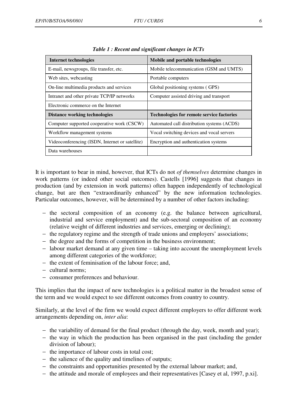| Internet technologies                           | Mobile and portable technologies                 |
|-------------------------------------------------|--------------------------------------------------|
| E-mail, newsgroups, file transfer, etc.         | Mobile telecommunication (GSM and UMTS)          |
| Web sites, webcasting                           | Portable computers                               |
| On-line multimedia products and services        | Global positioning systems (GPS)                 |
| Intranet and other private TCP/IP networks      | Computer assisted driving and transport          |
| Electronic commerce on the Internet             |                                                  |
| <b>Distance working technologies</b>            | <b>Technologies for remote service factories</b> |
| Computer supported cooperative work (CSCW)      | Automated call distribution systems (ACDS)       |
| Workflow management systems                     | Vocal switching devices and vocal servers        |
| Videoconferencing (ISDN, Internet or satellite) | Encryption and authentication systems            |
| Data warehouses                                 |                                                  |

*Table 1 : Recent and significant changes in ICTs* 

It is important to bear in mind, however, that ICTs do not *of themselves* determine changes in work patterns (or indeed other social outcomes). Castells [1996] suggests that changes in production (and by extension in work patterns) often happen independently of technological change, but are then "extraordinarily enhanced" by the new information technologies. Particular outcomes, however, will be determined by a number of other factors including:

- − the sectoral composition of an economy (e.g. the balance between agricultural, industrial and service employment) and the sub-sectoral composition of an economy (relative weight of different industries and services, emerging or declining);
- − the regulatory regime and the strength of trade unions and employers' associations;
- − the degree and the forms of competition in the business environment;
- − labour market demand at any given time taking into account the unemployment levels among different categories of the workforce;
- − the extent of feminisation of the labour force; and,
- − cultural norms;
- − consumer preferences and behaviour.

This implies that the impact of new technologies is a political matter in the broadest sense of the term and we would expect to see different outcomes from country to country.

Similarly, at the level of the firm we would expect different employers to offer different work arrangements depending on, *inter alia*:

- − the variability of demand for the final product (through the day, week, month and year);
- − the way in which the production has been organised in the past (including the gender division of labour);
- − the importance of labour costs in total cost;
- − the salience of the quality and timelines of outputs;
- − the constraints and opportunities presented by the external labour market; and,
- − the attitude and morale of employees and their representatives [Casey et al, 1997, p.xi].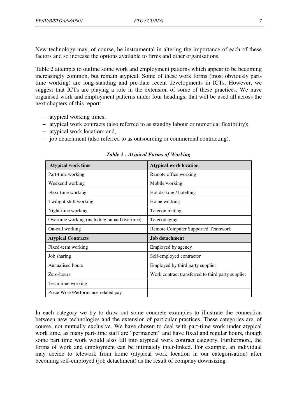New technology may, of course, be instrumental in altering the importance of each of these factors and so increase the options available to firms and other organisations.

Table 2 attempts to outline some work and employment patterns which appear to be becoming increasingly common, but remain atypical. Some of these work forms (most obviously parttime working) are long-standing and pre-date recent developments in ICTs. However, we suggest that ICTs are playing a role in the extension of some of these practices. We have organised work and employment patterns under four headings, that will be used all across the next chapters of this report:

- − atypical working times;
- − atypical work contracts (also referred to as standby labour or numerical flexibility);
- − atypical work location; and,
- − job detachment (also referred to as outsourcing or commercial contracting).

| <b>Atypical work time</b>                    | <b>Atypical work location</b>                     |
|----------------------------------------------|---------------------------------------------------|
| Part-time working                            | Remote office working                             |
| Weekend working                              | Mobile working                                    |
| Flexi-time working                           | Hot desking / hotelling                           |
| Twilight-shift working                       | Home working                                      |
| Night-time working                           | Telecommuting                                     |
| Overtime working (including unpaid overtime) | Telecottaging                                     |
| On-call working                              | <b>Remote Computer Supported Teamwork</b>         |
| <b>Atypical Contracts</b>                    | <b>Job detachment</b>                             |
| Fixed-term working                           | Employed by agency                                |
| Job sharing                                  | Self-employed contractor                          |
| Annualised hours                             | Employed by third party supplier                  |
| Zero-hours                                   | Work contract transferred to third party supplier |
| Term-time working                            |                                                   |
| Piece Work/Performance related pay           |                                                   |

*Table 2 : Atypical Forms of Working* 

In each category we try to draw out some concrete examples to illustrate the connection between new technologies and the extension of particular practices. These categories are, of course, not mutually exclusive. We have chosen to deal with part-time work under atypical work time, as many part-time staff are "permanent" and have fixed and regular hours, though some part time work would also fall into atypical work contract category. Furthermore, the forms of work and employment can be intimately inter-linked. For example, an individual may decide to telework from home (atypical work location in our categorisation) after becoming self-employed (job detachment) as the result of company downsizing.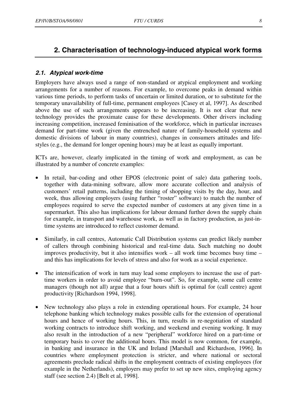# <span id="page-8-0"></span>**2. Characterisation of technology-induced atypical work forms**

#### *2.1. Atypical work-time*

Employers have always used a range of non-standard or atypical employment and working arrangements for a number of reasons. For example, to overcome peaks in demand within various time periods, to perform tasks of uncertain or limited duration, or to substitute for the temporary unavailability of full-time, permanent employees [Casey et al, 1997]. As described above the use of such arrangements appears to be increasing. It is not clear that new technology provides the proximate cause for these developments. Other drivers including increasing competition, increased feminisation of the workforce, which in particular increases demand for part-time work (given the entrenched nature of family-household systems and domestic divisions of labour in many countries), changes in consumers attitudes and lifestyles (e.g., the demand for longer opening hours) may be at least as equally important.

ICTs are, however, clearly implicated in the timing of work and employment, as can be illustrated by a number of concrete examples:

- In retail, bar-coding and other EPOS (electronic point of sale) data gathering tools, together with data-mining software, allow more accurate collection and analysis of customers' retail patterns, including the timing of shopping visits by the day, hour, and week, thus allowing employers (using further "roster" software) to match the number of employees required to serve the expected number of customers at any given time in a supermarket. This also has implications for labour demand further down the supply chain for example, in transport and warehouse work, as well as in factory production, as just-intime systems are introduced to reflect customer demand.
- Similarly, in call centres, Automatic Call Distribution systems can predict likely number of callers through combining historical and real-time data. Such matching no doubt improves productivity, but it also intensifies work – all work time becomes busy time – and this has implications for levels of stress and also for work as a social experience.
- The intensification of work in turn may lead some employers to increase the use of parttime workers in order to avoid employee "burn-out". So, for example, some call centre managers (though not all) argue that a four hours shift is optimal for (call centre) agent productivity [Richardson 1994, 1998].
- New technology also plays a role in extending operational hours. For example, 24 hour telephone banking which technology makes possible calls for the extension of operational hours and hence of working hours. This, in turn, results in re-negotiation of standard working contracts to introduce shift working, and weekend and evening working. It may also result in the introduction of a new "peripheral" workforce hired on a part-time or temporary basis to cover the additional hours. This model is now common, for example, in banking and insurance in the UK and Ireland [Marshall and Richardson, 1996]. In countries where employment protection is stricter, and where national or sectoral agreements preclude radical shifts in the employment contracts of existing employees (for example in the Netherlands), employers may prefer to set up new sites, employing agency staff (see section 2.4) [Belt et al, 1998].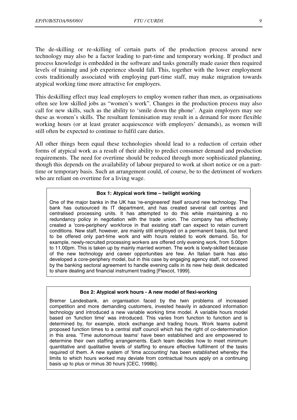The de-skilling or re-skilling of certain parts of the production process around new technology may also be a factor leading to part-time and temporary working. If product and process knowledge is embedded in the software and tasks generally made easier then required levels of training and job experience should fall. This, together with the lower employment costs traditionally associated with employing part-time staff, may make migration towards atypical working time more attractive for employers.

This deskilling effect may lead employers to employ women rather than men, as organisations often see low skilled jobs as "women's work". Changes in the production process may also call for new skills, such as the ability to 'smile down the phone'. Again employers may see these as women's skills. The resultant feminisation may result in a demand for more flexible working hours (or at least greater acquiescence with employers' demands), as women will still often be expected to continue to fulfil care duties.

All other things been equal these technologies should lead to a reduction of certain other forms of atypical work as a result of their ability to predict consumer demand and production requirements. The need for overtime should be reduced through more sophisticated planning, though this depends on the availability of labour prepared to work at short notice or on a parttime or temporary basis. Such an arrangement could, of course, be to the detriment of workers who are reliant on overtime for a living wage.

#### **Box 1: Atypical work time – twilight working**

One of the major banks in the UK has 're-engineered' itself around new technology. The bank has outsourced its IT department, and has created several call centres and centralised processing units. It has attempted to do this while maintaining a no redundancy policy in negotiation with the trade union. The company has effectively created a 'core-periphery' workforce in that existing staff can expect to retain current conditions. New staff, however, are mainly still employed on a permanent basis, but tend to be offered only part-time work and with hours related to work demand. So, for example, newly-recruited processing workers are offered only evening work, from 5.00pm to 11.00pm. This is taken up by mainly married women. The work is lowly-skilled because of the new technology and career opportunities are few. An Italian bank has also developed a core-periphery model, but in this case by engaging agency staff, not covered by the banking sectoral agreement to handle evening calls in its new help desk dedicated to share dealing and financial instrument trading [Flexcot, 1999].

#### **Box 2: Atypical work hours - A new model of flexi-working**

Bremer Landesbank, an organisation faced by the twin problems of increased competition and more demanding customers, invested heavily in advanced information technology and introduced a new variable working time model. A variable hours model based on 'function time' was introduced. This varies from function to function and is determined by, for example, stock exchange and trading hours. Work teams submit proposed function times to a central staff council which has the right of co-determination in this area. 'Time autonomous teams' have been established and are empowered to determine their own staffing arrangements. Each team decides how to meet minimum quantitative and qualitative levels of staffing to ensure effective fulfilment of the tasks required of them. A new system of 'time accounting' has been established whereby the limits to which hours worked may deviate from contractual hours apply on a continuing basis up to plus or minus 30 hours [CEC, 1998b].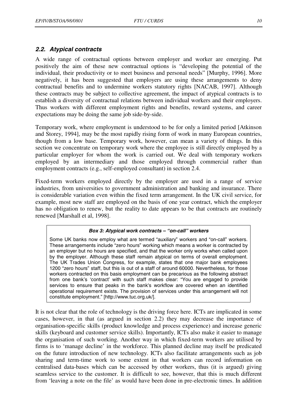## <span id="page-10-0"></span>*2.2. Atypical contracts*

A wide range of contractual options between employer and worker are emerging. Put positively the aim of these new contractual options is "developing the potential of the individual, their productivity or to meet business and personal needs" [Murphy, 1996]. More negatively, it has been suggested that employers are using these arrangements to deny contractual benefits and to undermine workers statutory rights [NACAB, 1997]. Although these contracts may be subject to collective agreement, the impact of atypical contracts is to establish a diversity of contractual relations between individual workers and their employers. Thus workers with different employment rights and benefits, reward systems, and career expectations may be doing the same job side-by-side.

Temporary work, where employment is understood to be for only a limited period [Atkinson and Storey, 1994], may be the most rapidly rising form of work in many European countries, though from a low base. Temporary work, however, can mean a variety of things. In this section we concentrate on temporary work where the employee is still directly employed by a particular employer for whom the work is carried out. We deal with temporary workers employed by an intermediary and those employed through commercial rather than employment contracts (e.g., self-employed consultant) in section 2.4.

Fixed-term workers employed directly by the employer are used in a range of service industries, from universities to government administration and banking and insurance. There is considerable variation even within the fixed term arrangement. In the UK civil service, for example, most new staff are employed on the basis of one year contract, which the employer has no obligation to renew, but the reality to date appears to be that contracts are routinely renewed [Marshall et al, 1998].

#### *Box 3: Atypical work contracts – "on-call" workers*

Some UK banks now employ what are termed "auxiliary" workers and "on-call" workers. These arrangements include "zero hours" working which means a worker is contracted by an employer but no hours are specified, and that the worker only works when called upon by the employer. Although these staff remain atypical on terms of overall employment. The UK Trades Union Congress, for example, states that one major bank employees 1200 "zero hours" staff, but this is out of a staff of around 60000. Nevertheless, for those workers contracted on this basis employment can be precarious as the following abstract from one bank's 'contract' with such staff makes clear: "You are engaged to provide services to ensure that peaks in the bank's workflow are covered when an identified operational requirement exists. The provision of services under this arrangement will not constitute employment." [http://www.tuc.org.uk/].

It is not clear that the role of technology is the driving force here. ICTs are implicated in some cases, however, in that (as argued in section 2.2) they may decrease the importance of organisation-specific skills (product knowledge and process experience) and increase generic skills (keyboard and customer service skills). Importantly, ICTs also make it easier to manage the organisation of such working. Another way in which fixed-term workers are utilised by firms is to 'manage decline' in the workforce. This planned decline may itself be predicated on the future introduction of new technology. ICTs also facilitate arrangements such as job sharing and term-time work to some extent in that workers can record information on centralised data-bases which can be accessed by other workers, thus (it is argued) giving seamless service to the customer. It is difficult to see, however, that this is much different from 'leaving a note on the file' as would have been done in pre-electronic times. In addition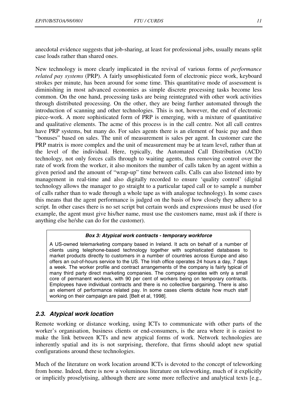<span id="page-11-0"></span>anecdotal evidence suggests that job-sharing, at least for professional jobs, usually means split case loads rather than shared ones.

New technology is more clearly implicated in the revival of various forms of *performance related pay systems* (PRP). A fairly unsophisticated form of electronic piece work, keyboard strokes per minute, has been around for some time. This quantitative mode of assessment is diminishing in most advanced economies as simple discrete processing tasks become less common. On the one hand, processing tasks are being reintegrated with other work activities through distributed processing. On the other, they are being further automated through the introduction of scanning and other technologies. This is not, however, the end of electronic piece-work. A more sophisticated form of PRP is emerging, with a mixture of quantitative and qualitative elements. The acme of this process is in the call centre. Not all call centres have PRP systems, but many do. For sales agents there is an element of basic pay and then "bonuses" based on sales. The unit of measurement is sales per agent. In customer care the PRP matrix is more complex and the unit of measurement may be at team level, rather than at the level of the individual. Here, typically, the Automated Call Distribution (ACD) technology, not only forces calls through to waiting agents, thus removing control over the rate of work from the worker, it also monitors the number of calls taken by an agent within a given period and the amount of "wrap-up" time between calls. Calls can also listened into by management in real-time and also digitally recorded to ensure 'quality control' (digital technology allows the manager to go straight to a particular taped call or to sample a number of calls rather than to wade through a whole tape as with analogue technology). In some cases this means that the agent performance is judged on the basis of how closely they adhere to a script. In other cases there is no set script but certain words and expressions must be used (for example, the agent must give his/her name, must use the customers name, must ask if there is anything else he/she can do for the customer).

#### *Box 3: Atypical work contracts - temporary workforce*

A US-owned telemarketing company based in Ireland. It acts on behalf of a number of clients using telephone-based technology together with sophisticated databases to market products directly to customers in a number of countries across Europe and also offers an out-of-hours service to the US. The Irish office operates 24 hours a day, 7 days a week. The worker profile and contract arrangements of the company is fairly typical of many third party direct marketing companies. The company operates with only a small core of permanent workers, with 90 per cent of workers being on temporary contracts. Employees have individual contracts and there is no collective bargaining. There is also an element of performance related pay. In some cases clients dictate how much staff working on their campaign are paid. [Belt et al, 1998].

## *2.3. Atypical work location*

Remote working or distance working, using ICTs to communicate with other parts of the worker's organisation, business clients or end-consumers, is the area where it is easiest to make the link between ICTs and new atypical forms of work. Network technologies are inherently spatial and its is not surprising, therefore, that firms should adopt new spatial configurations around these technologies.

Much of the literature on work location around ICTs is devoted to the concept of teleworking from home. Indeed, there is now a voluminous literature on teleworking, much of it explicitly or implicitly proselytising, although there are some more reflective and analytical texts [e.g.,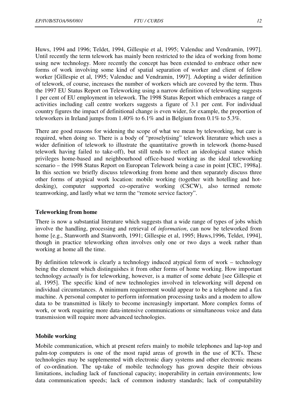<span id="page-12-0"></span>Huws, 1994 and 1996; Teldet, 1994, Gillespie et al, 1995; Valenduc and Vendramin, 1997]. Until recently the term telework has mainly been restricted to the idea of working from home using new technology. More recently the concept has been extended to embrace other new forms of work involving some kind of spatial separation of worker and client of fellow worker [Gillespie et al, 1995; Valenduc and Vendramin, 1997]. Adopting a wider definition of telework, of course, increases the number of workers which are covered by the term. Thus the 1997 EU Status Report on Teleworking using a narrow definition of teleworking suggests 1 per cent of EU employment in telework. The 1998 Status Report which embraces a range of activities including call centre workers suggests a figure of 3.1 per cent. For individual country figures the impact of definitional change is even wider, for example, the proportion of teleworkers in Ireland jumps from 1.40% to 6.1% and in Belgium from 0.1% to 5.3%.

There are good reasons for widening the scope of what we mean by teleworking, but care is required, when doing so. There is a body of "proselytising" telework literature which uses a wider definition of telework to illustrate the quantitative growth in telework (home-based telework having failed to take-off), but still tends to reflect an ideological stance which privileges home-based and neighbourhood office-based working as the ideal teleworking scenario – the 1998 Status Report on European Telework being a case in point [CEC, 1998a]. In this section we briefly discuss teleworking from home and then separately discuss three other forms of atypical work location: mobile working (together with hotelling and hotdesking), computer supported co-operative working (CSCW), also termed remote teamworking, and lastly what we term the "remote service factory".

#### **Teleworking from home**

There is now a substantial literature which suggests that a wide range of types of jobs which involve the handling, processing and retrieval of *information*, can now be teleworked from home [e.g., Stanworth and Stanworth, 1991; Gillespie et al, 1995; Huws,1996, Teldet, 1994], though in practice teleworking often involves only one or two days a week rather than working at home all the time.

By definition telework is clearly a technology induced atypical form of work – technology being the element which distinguishes it from other forms of home working. How important technology *actually* is for teleworking, however, is a matter of some debate [see Gillespie et al, 1995]. The specific kind of new technologies involved in teleworking will depend on individual circumstances. A minimum requirement would appear to be a telephone and a fax machine. A personal computer to perform information processing tasks and a modem to allow data to be transmitted is likely to become increasingly important. More complex forms of work, or work requiring more data-intensive communications or simultaneous voice and data transmission will require more advanced technologies.

#### **Mobile working**

Mobile communication, which at present refers mainly to mobile telephones and lap-top and palm-top computers is one of the most rapid areas of growth in the use of ICTs. These technologies may be supplemented with electronic diary systems and other electronic means of co-ordination. The up-take of mobile technology has grown despite their obvious limitations, including lack of functional capacity; inoperability in certain environments; low data communication speeds; lack of common industry standards; lack of computability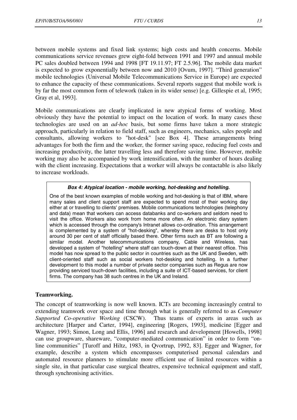<span id="page-13-0"></span>between mobile systems and fixed link systems; high costs and health concerns. Mobile communications service revenues grew eight-fold between 1991 and 1997 and annual mobile PC sales doubled between 1994 and 1998 [FT 19.11.97; FT 2.5.96]. The mobile data market is expected to grow exponentially between now and 2010 [Ovum, 1997]. "Third generation" mobile technologies (Universal Mobile Telecommunications Service in Europe) are expected to enhance the capacity of these communications. Several reports suggest that mobile work is by far the most common form of telework (taken in its wider sense) [e.g. Gillespie et al, 1995; Gray et al, 1993].

Mobile communications are clearly implicated in new atypical forms of working. Most obviously they have the potential to impact on the location of work. In many cases these technologies are used on an *ad-hoc* basis, but some firms have taken a more strategic approach, particularly in relation to field staff, such as engineers, mechanics, sales people and consultants, allowing workers to "hot-desk" [see Box 4]. These arrangements bring advantages for both the firm and the worker, the former saving space, reducing fuel costs and increasing productivity, the latter travelling less and therefore saving time. However, mobile working may also be accompanied by work intensification, with the number of hours dealing with the client increasing. Expectations that a worker will always be contactable is also likely to increase workloads.

#### *Box 4: Atypical location - mobile working, hot-desking and hotelling.*

One of the best known examples of mobile working and hot-desking is that of IBM, where many sales and client support staff are expected to spend most of their working day either at or travelling to clients' premises. Mobile communications technologies (telephony and data) mean that workers can access databanks and co-workers and seldom need to visit the office. Workers also work from home more often. An electronic diary system which is accessed through the company's Intranet allows co-ordination. This arrangement is complemented by a system of "hot-desking", whereby there are desks to host only around 30 per cent of staff officially based there. Other firms such as BT are following a similar model. Another telecommunications company, Cable and Wireless, has developed a system of "hotelling" where staff can touch-down at their nearest office. This model has now spread to the public sector in countries such as the UK and Sweden, with client-oriented staff such as social workers hot-desking and hotelling. In a further development to this model a number of private sector companies such as Regus are now providing serviced touch-down facilities, including a suite of ICT-based services, for client firms. The company has 38 such centres in the UK and Ireland.

#### **Teamworking.**

The concept of teamworking is now well known. ICTs are becoming increasingly central to extending teamwork over space and time through what is generally referred to as *Computer Supported Co-operative Working* (CSCW). Thus teams of experts in areas such as architecture [Harper and Carter, 1994], engineering [Rogers, 1993], medicine [Egger and Wagner, 1993; Simon, Long and Ellis, 1996] and research and development [Howells, 1998] can use groupware, shareware, "computer-mediated communication" in order to form "online communities" [Turoff and Hiltz, 1983, in Qvortrup, 1992, 83]. Egger and Wagner, for example, describe a system which encompasses computerised personal calendars and automated resource planners to stimulate more efficient use of limited resources within a single site, in that particular case surgical theatres, expensive technical equipment and staff, through synchronising activities.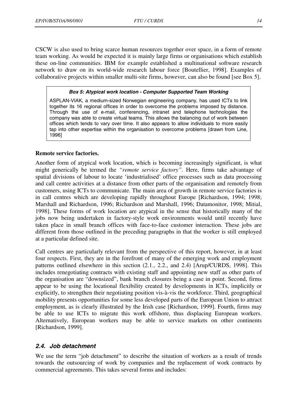<span id="page-14-0"></span>CSCW is also used to bring scarce human resources together over space, in a form of remote team working. As would be expected it is mainly large firms or organisations which establish these on-line communities. IBM for example established a multinational software research network to draw on its world-wide research labour force [Boutellier, 1998]. Examples of collaborative projects within smaller multi-site firms, however, can also be found [see Box 5].

#### *Box 5: Atypical work location - Computer Supported Team Working*

ASPLAN-VIAK, a medium-sized Norwegian engineering company, has used ICTs to link together its 16 regional offices in order to overcome the problems imposed by distance. Through the use of e-mail, conferencing, intranet and telephone technologies the company was able to create virtual teams. This allows the balancing out of work between offices which tends to vary over time. It also appears to allow individuals to more easily tap into other expertise within the organisation to overcome problems [drawn from Line, 1996]

#### **Remote service factories.**

Another form of atypical work location, which is becoming increasingly significant, is what might generically be termed the *"remote service factory".* Here, firms take advantage of spatial divisions of labour to locate 'industrialised' office processes such as data processing and call centre activities at a distance from other parts of the organisation and remotely from customers, using ICTs to communicate. The main area of growth in remote service factories is in call centres which are developing rapidly throughout Europe [Richardson, 1994; 1998; Marshall and Richardson, 1996; Richardson and Marshall, 1996; Datamonitor, 1998; Mitial, 1998]. These forms of work location are atypical in the sense that historically many of the jobs now being undertaken in factory-style work environments would until recently have taken place in small branch offices with face-to-face customer interaction. These jobs are different from those outlined in the preceding paragraphs in that the worker is still employed at a particular defined site.

Call centres are particularly relevant from the perspective of this report, however, in at least four respects. First, they are in the forefront of many of the emerging work and employment patterns outlined elsewhere in this section (2.1., 2.2., and 2.4) [Arup/CURDS, 1998]. This includes renegotiating contracts with existing staff and appointing new staff as other parts of the organisation are "downsized", bank branch closures being a case in point. Second, firms appear to be using the locational flexibility created by developments in ICTs, implicitly or explicitly, to strengthen their negotiating position vis-à-vis the workforce. Third, geographical mobility presents opportunities for some less developed parts of the European Union to attract employment, as is clearly illustrated by the Irish case [Richardson, 1999]. Fourth, firms may be able to use ICTs to migrate this work offshore, thus displacing European workers. Alternatively, European workers may be able to service markets on other continents [Richardson, 1999].

#### *2.4. Job detachment*

We use the term "job detachment" to describe the situation of workers as a result of trends towards the outsourcing of work by companies and the replacement of work contracts by commercial agreements. This takes several forms and includes: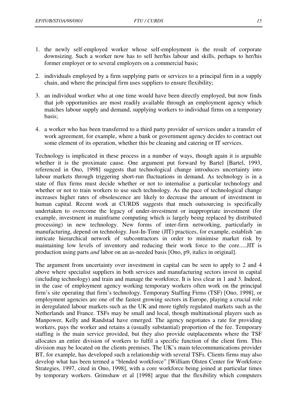- 1. the newly self-employed worker whose self-employment is the result of corporate downsizing. Such a worker now has to sell her/his labour and skills, perhaps to her/his former employer or to several employers on a commercial basis;
- 2. individuals employed by a firm supplying parts or services to a principal firm in a supply chain, and where the principal firm uses suppliers to ensure flexibility;
- 3. an individual worker who at one time would have been directly employed, but now finds that job opportunities are most readily available through an employment agency which matches labour supply and demand, supplying workers to individual firms on a temporary basis;
- 4. a worker who has been transferred to a third party provider of services under a transfer of work agreement, for example, where a bank or government agency decides to contract out some element of its operation, whether this be cleaning and catering or IT services.

Technology is implicated in these process in a number of ways, though again it is arguable whether it is the proximate cause. One argument put forward by Bartel [Bartel, 1993, referenced in Ono, 1998] suggests that technological change introduces uncertainty into labour markets through triggering short-run fluctuations in demand. As technology is in a state of flux firms must decide whether or not to internalise a particular technology and whether or not to train workers to use such technology. As the pace of technological change increases higher rates of obsolescence are likely to decrease the amount of investment in human capital. Recent work at CURDS suggests that much outsourcing is specifically undertaken to overcome the legacy of under-investment or inappropriate investment (for example, investment in mainframe computing which is largely being replaced by distributed processing) in new technology. New forms of inter-firm networking, particularly in manufacturing, depend on technology. Just-In-Time (JIT) practices, for example, establish 'an intricate hierarchical network of subcontractors in order to minimise market risk by maintaining low levels of inventory and reducing their work force to the core.....JIT is production using parts *and* labor on an as-needed basis [Ono, p9, italics in original].

The argument from uncertainty over investment in capital can be seen to apply to 2 and 4 above where specialist suppliers in both services and manufacturing sectors invest in capital (including technology) and train and manage the workforce. It is less clear in 1 and 3. Indeed, in the case of employment agency working temporary workers often work on the principal firm's site operating that firm's technology. Temporary Staffing Firms (TSF) [Ono, 1998], or employment agencies are one of the fastest growing sectors in Europe, playing a crucial role in deregulated labour markets such as the UK and more tightly regulated markets such as the Netherlands and France. TSFs may be small and local, though multinational players such as Manpower, Kelly and Randstad have emerged. The agency negotiates a rate for providing workers, pays the worker and retains a (usually substantial) proportion of the fee. Temporary staffing is the main service provided, but they also provide outplacements where the TSF allocates an entire division of workers to fulfil a specific function of the client firm. This division may be located on the clients premises. The UK's main telecommunications provider BT, for example, has developed such a relationship with several TSFs. Clients firms may also develop what has been termed a "blended workforce" [William Olsten Center for Workforce Strategies, 1997, cited in Ono, 1998], with a core workforce being joined at particular times by temporary workers. Grimshaw et al [1998] argue that the flexibility which computers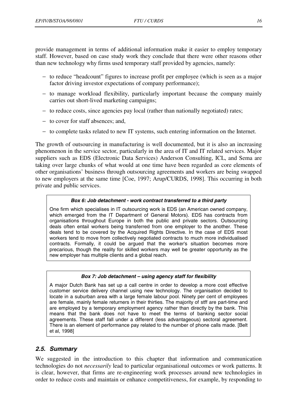<span id="page-16-0"></span>provide management in terms of additional information make it easier to employ temporary staff. However, based on case study work they conclude that there were other reasons other than new technology why firms used temporary staff provided by agencies, namely:

- − to reduce "headcount" figures to increase profit per employee (which is seen as a major factor driving investor expectations of company performance);
- − to manage workload flexibility, particularly important because the company mainly carries out short-lived marketing campaigns;
- − to reduce costs, since agencies pay local (rather than nationally negotiated) rates;
- − to cover for staff absences; and,
- − to complete tasks related to new IT systems, such entering information on the Internet.

The growth of outsourcing in manufacturing is well documented, but it is also an increasing phenomenon in the service sector, particularly in the area of IT and IT related services. Major suppliers such as EDS (Electronic Data Services) Anderson Consulting, ICL, and Sema are taking over large chunks of what would at one time have been regarded as core elements of other organisations' business through outsourcing agreements and workers are being swapped to new employers at the same time [Coe, 1997; Arup/CURDS, 1998]. This occurring in both private and public services.

#### *Box 6: Job detachment - work contract transferred to a third party*

One firm which specialises in IT outsourcing work is EDS (an American owned company, which emerged from the IT Department of General Motors). EDS has contracts from organisations throughout Europe in both the public and private sectors. Outsourcing deals often entail workers being transferred from one employer to the another. These deals tend to be covered by the Acquired Rights Directive. In the case of EDS most workers tend to move from collectively negotiated contracts to much more individualised contracts. Formally, it could be argued that the worker's situation becomes more precarious, though the reality for skilled workers may well be greater opportunity as the new employer has multiple clients and a global reach.

#### *Box 7: Job detachment – using agency staff for flexibility*

A major Dutch Bank has set up a call centre in order to develop a more cost effective customer service delivery channel using new technology. The organisation decided to locate in a suburban area with a large female labour pool. Ninety per cent of employees are female, mainly female returners in their thirties. The majority of stff are part-time and are employed by a temporary employment agency rather than directly by the bank. This means that the bank does not have to meet the terms of banking sector social agreements. These staff fall under a different (less advantageous) sectoral agreement. There is an element of performance pay related to the number of phone calls made. [Belt et al, 1998]

#### *2.5. Summary*

We suggested in the introduction to this chapter that information and communication technologies do not *necessarily* lead to particular organisational outcomes or work patterns. It is clear, however, that firms are re-engineering work processes around new technologies in order to reduce costs and maintain or enhance competitiveness, for example, by responding to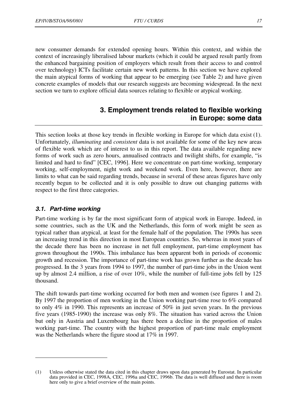<span id="page-17-0"></span>new consumer demands for extended opening hours. Within this context, and within the context of increasingly liberalised labour markets (which it could be argued result partly from the enhanced bargaining position of employers which result from their access to and control over technology) ICTs facilitate certain new work patterns. In this section we have explored the main atypical forms of working that appear to be emerging (see Table 2) and have given concrete examples of models that our research suggests are becoming widespread. In the next section we turn to explore official data sources relating to flexible or atypical working.

# **3. Employment trends related to flexible working in Europe: some data**

This section looks at those key trends in flexible working in Europe for which data exist (1). Unfortunately, *illuminating* and *consistent* data is not available for some of the key new areas of flexible work which are of interest to us in this report. The data available regarding new forms of work such as zero hours, annualised contracts and twilight shifts, for example, "is limited and hard to find" [CEC, 1996]. Here we concentrate on part-time working, temporary working, self-employment, night work and weekend work. Even here, however, there are limits to what can be said regarding trends, because in several of these areas figures have only recently begun to be collected and it is only possible to draw out changing patterns with respect to the first three categories.

#### *3.1. Part-time working*

 $\overline{a}$ 

Part-time working is by far the most significant form of atypical work in Europe. Indeed, in some countries, such as the UK and the Netherlands, this form of work might be seen as typical rather than atypical, at least for the female half of the population. The 1990s has seen an increasing trend in this direction in most European countries. So, whereas in most years of the decade there has been no increase in net full employment, part-time employment has grown throughout the 1990s. This imbalance has been apparent both in periods of economic growth and recession. The importance of part-time work has grown further as the decade has progressed. In the 3 years from 1994 to 1997, the number of part-time jobs in the Union went up by almost 2.4 million, a rise of over 10%, while the number of full-time jobs fell by 125 thousand.

The shift towards part-time working occurred for both men and women (see figures 1 and 2). By 1997 the proportion of men working in the Union working part-time rose to 6% compared to only 4% in 1990. This represents an increase of 50% in just seven years. In the previous five years (1985-1990) the increase was only 8%. The situation has varied across the Union but only in Austria and Luxembourg has there been a decline in the proportion of males working part-time. The country with the highest proportion of part-time male employment was the Netherlands where the figure stood at 17% in 1997.

<sup>(1)</sup> Unless otherwise stated the data cited in this chapter draws upon data generated by Eurostat. In particular data provided in CEC, 1998A, CEC, 1996a and CEC, 1996b. The data is well diffused and there is room here only to give a brief overview of the main points.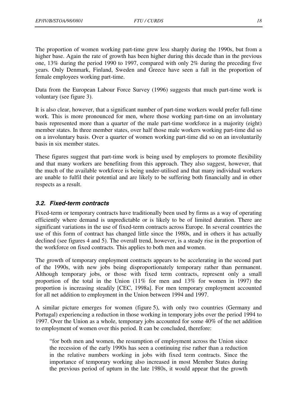<span id="page-18-0"></span>The proportion of women working part-time grew less sharply during the 1990s, but from a higher base. Again the rate of growth has been higher during this decade than in the previous one, 13% during the period 1990 to 1997, compared with only 2% during the preceding five years. Only Denmark, Finland, Sweden and Greece have seen a fall in the proportion of female employees working part-time.

Data from the European Labour Force Survey (1996) suggests that much part-time work is voluntary (see figure 3).

It is also clear, however, that a significant number of part-time workers would prefer full-time work. This is more pronounced for men, where those working part-time on an involuntary basis represented more than a quarter of the male part-time workforce in a majority (eight) member states. In three member states, over half those male workers working part-time did so on a involuntary basis. Over a quarter of women working part-time did so on an involuntarily basis in six member states.

These figures suggest that part-time work is being used by employers to promote flexibility and that many workers are benefiting from this approach. They also suggest, however, that the much of the available workforce is being under-utilised and that many individual workers are unable to fulfil their potential and are likely to be suffering both financially and in other respects as a result.

#### *3.2. Fixed-term contracts*

Fixed-term or temporary contracts have traditionally been used by firms as a way of operating efficiently where demand is unpredictable or is likely to be of limited duration. There are significant variations in the use of fixed-term contracts across Europe. In several countries the use of this form of contract has changed little since the 1980s, and in others it has actually declined (see figures 4 and 5). The overall trend, however, is a steady rise in the proportion of the workforce on fixed contracts. This applies to both men and women.

The growth of temporary employment contracts appears to be accelerating in the second part of the 1990s, with new jobs being disproportionately temporary rather than permanent. Although temporary jobs, or those with fixed term contracts, represent only a small proportion of the total in the Union (11% for men and 13% for women in 1997) the proportion is increasing steadily [CEC, 1998a]. For men temporary employment accounted for all net addition to employment in the Union between 1994 and 1997.

A similar picture emerges for women (figure 5), with only two countries (Germany and Portugal) experiencing a reduction in those working in temporary jobs over the period 1994 to 1997. Over the Union as a whole, temporary jobs accounted for some 40% of the net addition to employment of women over this period. It can be concluded, therefore:

"for both men and women, the resumption of employment across the Union since the recession of the early 1990s has seen a continuing rise rather than a reduction in the relative numbers working in jobs with fixed term contracts. Since the importance of temporary working also increased in most Member States during the previous period of upturn in the late 1980s, it would appear that the growth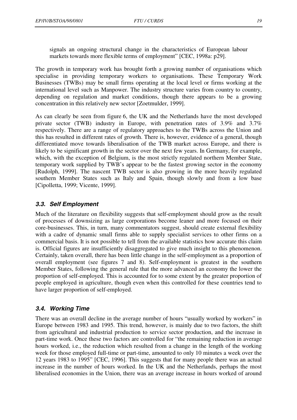<span id="page-19-0"></span>signals an ongoing structural change in the characteristics of European labour markets towards more flexible terms of employment" [CEC, 1998a: p29].

The growth in temporary work has brought forth a growing number of organisations which specialise in providing temporary workers to organisations. These Temporary Work Businesses (TWBs) may be small firms operating at the local level or firms working at the international level such as Manpower. The industry structure varies from country to country, depending on regulation and market conditions, though there appears to be a growing concentration in this relatively new sector [Zoetmulder, 1999].

As can clearly be seen from figure 6, the UK and the Netherlands have the most developed private sector (TWB) industry in Europe, with penetration rates of 3.9% and 3.7% respectively. There are a range of regulatory approaches to the TWBs across the Union and this has resulted in different rates of growth. There is, however, evidence of a general, though differentiated move towards liberalisation of the TWB market across Europe, and there is likely to be significant growth in the sector over the next few years. In Germany, for example, which, with the exception of Belgium, is the most strictly regulated northern Member State, temporary work supplied by TWB's appear to be the fastest growing sector in the economy [Rudolph, 1999]. The nascent TWB sector is also growing in the more heavily regulated southern Member States such as Italy and Spain, though slowly and from a low base [Cipolletta, 1999; Vicente, 1999].

## *3.3. Self Employment*

Much of the literature on flexibility suggests that self-employment should grow as the result of processes of downsizing as large corporations become leaner and more focused on their core-businesses. This, in turn, many commentators suggest, should create external flexibility with a cadre of dynamic small firms able to supply specialist services to other firms on a commercial basis. It is not possible to tell from the available statistics how accurate this claim is. Official figures are insufficiently disaggregated to give much insight to this phenomenon. Certainly, taken overall, there has been little change in the self-employment as a proportion of overall employment (see figures 7 and 8). Self-employment is greatest in the southern Member States, following the general rule that the more advanced an economy the lower the proportion of self-employed. This is accounted for to some extent by the greater proportion of people employed in agriculture, though even when this controlled for these countries tend to have larger proportion of self-employed.

#### *3.4. Working Time*

There was an overall decline in the average number of hours "usually worked by workers" in Europe between 1983 and 1995. This trend, however, is mainly due to two factors, the shift from agricultural and industrial production to service sector production, and the increase in part-time work. Once these two factors are controlled for "the remaining reduction in average hours worked, i.e., the reduction which resulted from a change in the length of the working week for those employed full-time or part-time, amounted to only 10 minutes a week over the 12 years 1983 to 1995" [CEC, 1996]. This suggests that for many people there was an actual increase in the number of hours worked. In the UK and the Netherlands, perhaps the most liberalised economies in the Union, there was an average increase in hours worked of around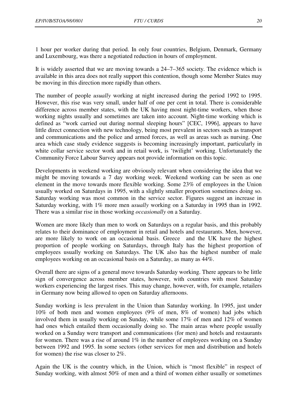1 hour per worker during that period. In only four countries, Belgium, Denmark, Germany and Luxembourg, was there a negotiated reduction in hours of employment.

It is widely asserted that we are moving towards a 24–7–365 society. The evidence which is available in this area does not really support this contention, though some Member States may be moving in this direction more rapidly than others.

The number of people *usually* working at night increased during the period 1992 to 1995. However, this rise was very small, under half of one per cent in total. There is considerable difference across member states, with the UK having most night-time workers, when those working nights usually and sometimes are taken into account. Night-time working which is defined as "work carried out during normal sleeping hours" [CEC, 1996], appears to have little direct connection with new technology, being most prevalent in sectors such as transport and communications and the police and armed forces, as well as areas such as nursing. One area which case study evidence suggests is becoming increasingly important, particularly in white collar service sector work and in retail work, is 'twilight' working. Unfortunately the Community Force Labour Survey appears not provide information on this topic.

Developments in weekend working are obviously relevant when considering the idea that we might be moving towards a 7 day working week. Weekend working can be seen as one element in the move towards more flexible working. Some 23% of employees in the Union usually worked on Saturdays in 1995, with a slightly smaller proportion sometimes doing so. Saturday working was most common in the service sector. Figures suggest an increase in Saturday working, with 1% more men *usually* working on a Saturday in 1995 than in 1992. There was a similar rise in those working *occasionally* on a Saturday.

Women are more likely than men to work on Saturdays on a regular basis, and this probably relates to their dominance of employment in retail and hotels and restaurants. Men, however, are more likely to work on an occasional basis. Greece and the UK have the highest proportion of people working on Saturdays, through Italy has the highest proportion of employees usually working on Saturdays. The UK also has the highest number of male employees working on an occasional basis on a Saturday, as many as 44%.

Overall there are signs of a general move towards Saturday working. There appears to be little sign of convergence across member states, however, with countries with most Saturday workers experiencing the largest rises. This may change, however, with, for example, retailers in Germany now being allowed to open on Saturday afternoons.

Sunday working is less prevalent in the Union than Saturday working. In 1995, just under 10% of both men and women employees (9% of men, 8% of women) had jobs which involved them in usually working on Sunday, while some 17% of men and 12% of women had ones which entailed them occasionally doing so. The main areas where people usually worked on a Sunday were transport and communications (for men) and hotels and restaurants for women. There was a rise of around 1% in the number of employees working on a Sunday between 1992 and 1995. In some sectors (other services for men and distribution and hotels for women) the rise was closer to 2%.

Again the UK is the country which, in the Union, which is "most flexible" in respect of Sunday working, with almost 50% of men and a third of women either usually or sometimes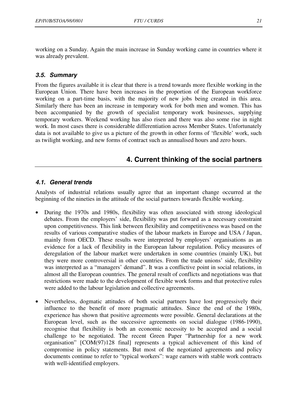<span id="page-21-0"></span>working on a Sunday. Again the main increase in Sunday working came in countries where it was already prevalent.

#### *3.5. Summary*

From the figures available it is clear that there is a trend towards more flexible working in the European Union. There have been increases in the proportion of the European workforce working on a part-time basis, with the majority of new jobs being created in this area. Similarly there has been an increase in temporary work for both men and women. This has been accompanied by the growth of specialist temporary work businesses, supplying temporary workers. Weekend working has also risen and there was also some rise in night work. In most cases there is considerable differentiation across Member States. Unfortunately data is not available to give us a picture of the growth in other forms of 'flexible' work, such as twilight working, and new forms of contract such as annualised hours and zero hours.

# **4. Current thinking of the social partners**

#### *4.1. General trends*

Analysts of industrial relations usually agree that an important change occurred at the beginning of the nineties in the attitude of the social partners towards flexible working.

- During the 1970s and 1980s, flexibility was often associated with strong ideological debates. From the employers' side, flexibility was put forward as a necessary constraint upon competitiveness. This link between flexibility and competitiveness was based on the results of various comparative studies of the labour markets in Europe and USA / Japan, mainly from OECD. These results were interpreted by employers' organisations as an evidence for a lack of flexibility in the European labour regulation. Policy measures of deregulation of the labour market were undertaken in some countries (mainly UK), but they were more controversial in other countries. From the trade unions' side, flexibility was interpreted as a "managers' demand". It was a conflictive point in social relations, in almost all the European countries. The general result of conflicts and negotiations was that restrictions were made to the development of flexible work forms and that protective rules were added to the labour legislation and collective agreements.
- Nevertheless, dogmatic attitudes of both social partners have lost progressively their influence to the benefit of more pragmatic attitudes. Since the end of the 1980s, experience has shown that positive agreements were possible. General declarations at the European level, such as the successive agreements on social dialogue (1986-1990), recognise that flexibility is both an economic necessity to be accepted and a social challenge to be negotiated. The recent Green Paper "Partnership for a new work organisation" [COM(97)128 final] represents a typical achievement of this kind of compromise in policy statements. But most of the negotiated agreements and policy documents continue to refer to "typical workers": wage earners with stable work contracts with well-identified employers.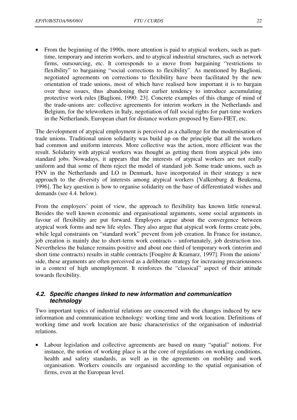<span id="page-22-0"></span>• From the beginning of the 1990s, more attention is paid to atypical workers, such as parttime, temporary and interim workers, and to atypical industrial structures, such as network firms, outsourcing, etc. It corresponds to a move from bargaining "restrictions to flexibility" to bargaining "social corrections to flexibility". As mentioned by Baglioni, negotiated agreements on corrections to flexibility have been facilitated by the new orientation of trade unions, most of which have realised how important it is to bargain over these issues, thus abandoning their earlier tendency to introduce accumulating protective work rules [Baglioni, 1990: 23]. Concrete examples of this change of mind of the trade-unions are: collective agreements for interim workers in the Netherlands and Belgium, for the teleworkers in Italy, negotiation of full social rights for part-time workers in the Netherlands, European chart for distance workers proposed by Euro-FIET, etc.

The development of atypical employment is perceived as a challenge for the modernisation of trade unions. Traditional union solidarity was build up on the principle that all the workers had common and uniform interests. More collective was the action, more efficient was the result. Solidarity with atypical workers was thought as getting them from atypical jobs into standard jobs. Nowadays, it appears that the interests of atypical workers are not really uniform and that some of them reject the model of standard job. Some trade unions, such as FNV in the Netherlands and LO in Denmark, have incorporated in their strategy a new approach to the diversity of interests among atypical workers [Valkenburg & Beukema, 1996]. The key question is how to organise solidarity on the base of differentiated wishes and demands (see 4.4. below).

From the employers' point of view, the approach to flexibility has known little renewal. Besides the well known economic and organisational arguments, some social arguments in favour of flexibility are put forward. Employers argue about the convergence between atypical work forms and new life styles. They also argue that atypical work forms create jobs, while legal constraints on "standard work" prevent from job creation. In France for instance, job creation is mainly due to short-term work contracts – unfortunately, job destruction too. Nevertheless the balance remains positive and about one third of temporary work (interim and short time contracts) results in stable contracts [Fougère & Kramarz, 1997]. From the unions' side, these arguments are often perceived as a deliberate strategy for increasing precariousness in a context of high unemployment. It reinforces the "classical" aspect of their attitude towards flexibility.

#### *4.2. Specific changes linked to new information and communication technology*

Two important topics of industrial relations are concerned with the changes induced by new information and communication technology: working time and work location. Definitions of working time and work location are basic characteristics of the organisation of industrial relations.

• Labour legislation and collective agreements are based on many "spatial" notions. For instance, the notion of working place is at the core of regulations on working conditions, health and safety standards, as well as in the agreements on mobility and work organisation. Workers councils are organised according to the spatial organisation of firms, even at the European level.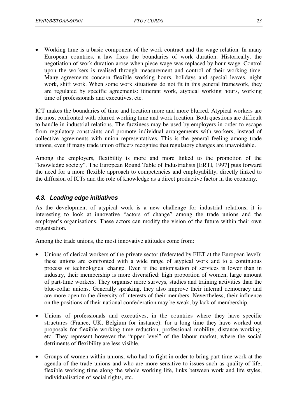<span id="page-23-0"></span>Working time is a basic component of the work contract and the wage relation. In many European countries, a law fixes the boundaries of work duration. Historically, the negotiation of work duration arose when piece wage was replaced by hour wage. Control upon the workers is realised through measurement and control of their working time. Many agreements concern flexible working hours, holidays and special leaves, night work, shift work. When some work situations do not fit in this general framework, they are regulated by specific agreements: itinerant work, atypical working hours, working time of professionals and executives, etc.

ICT makes the boundaries of time and location more and more blurred. Atypical workers are the most confronted with blurred working time and work location. Both questions are difficult to handle in industrial relations. The fuzziness may be used by employers in order to escape from regulatory constraints and promote individual arrangements with workers, instead of collective agreements with union representatives. This is the general feeling among trade unions, even if many trade union officers recognise that regulatory changes are unavoidable.

Among the employers, flexibility is more and more linked to the promotion of the "knowledge society". The European Round Table of Industrialists [ERTI, 1997] puts forward the need for a more flexible approach to competencies and employability, directly linked to the diffusion of ICTs and the role of knowledge as a direct productive factor in the economy.

#### *4.3. Leading edge initiatives*

As the development of atypical work is a new challenge for industrial relations, it is interesting to look at innovative "actors of change" among the trade unions and the employer's organisations. These actors can modify the vision of the future within their own organisation.

Among the trade unions, the most innovative attitudes come from:

- Unions of clerical workers of the private sector (federated by FIET at the European level): these unions are confronted with a wide range of atypical work and to a continuous process of technological change. Even if the unionisation of services is lower than in industry, their membership is more diversified: high proportion of women, large amount of part-time workers. They organise more surveys, studies and training activities than the blue-collar unions. Generally speaking, they also improve their internal democracy and are more open to the diversity of interests of their members. Nevertheless, their influence on the positions of their national confederation may be weak, by lack of membership.
- Unions of professionals and executives, in the countries where they have specific structures (France, UK, Belgium for instance): for a long time they have worked out proposals for flexible working time reduction, professional mobility, distance working, etc. They represent however the "upper level" of the labour market, where the social detriments of flexibility are less visible.
- Groups of women within unions, who had to fight in order to bring part-time work at the agenda of the trade unions and who are more sensitive to issues such as quality of life, flexible working time along the whole working life, links between work and life styles, individualisation of social rights, etc.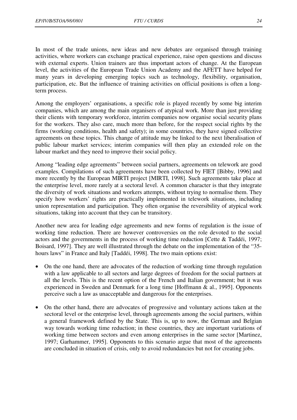In most of the trade unions, new ideas and new debates are organised through training activities, where workers can exchange practical experience, raise open questions and discuss with external experts. Union trainers are thus important actors of change. At the European level, the activities of the European Trade Union Academy and the AFETT have helped for many years in developing emerging topics such as technology, flexibility, organisation, participation, etc. But the influence of training activities on official positions is often a longterm process.

Among the employers' organisations, a specific role is played recently by some big interim companies, which are among the main organisers of atypical work. More than just providing their clients with temporary workforce, interim companies now organise social security plans for the workers. They also care, much more than before, for the respect social rights by the firms (working conditions, health and safety); in some countries, they have signed collective agreements on these topics. This change of attitude may be linked to the next liberalisation of public labour market services; interim companies will then play an extended role on the labour market and they need to improve their social policy.

Among "leading edge agreements" between social partners, agreements on telework are good examples. Compilations of such agreements have been collected by FIET [Bibby, 1996] and more recently by the European MIRTI project [MIRTI, 1998]. Such agreements take place at the enterprise level, more rarely at a sectoral level. A common character is that they integrate the diversity of work situations and workers attempts, without trying to normalise them. They specify how workers' rights are practically implemented in telework situations, including union representation and participation. They often organise the reversibility of atypical work situations, taking into account that they can be transitory.

Another new area for leading edge agreements and new forms of regulation is the issue of working time reduction. There are however controversies on the role devoted to the social actors and the governments in the process of working time reduction [Cette & Taddéi, 1997; Boisard, 1997]. They are well illustrated through the debate on the implementation of the "35 hours laws" in France and Italy [Taddéi, 1998]. The two main options exist:

- On the one hand, there are advocates of the reduction of working time through regulation with a law applicable to all sectors and large degrees of freedom for the social partners at all the levels. This is the recent option of the French and Italian government; but it was experienced in Sweden and Denmark for a long time [Hoffmann & al., 1995]. Opponents perceive such a law as unacceptable and dangerous for the enterprises.
- On the other hand, there are advocates of progressive and voluntary actions taken at the sectoral level or the enterprise level, through agreements among the social partners, within a general framework defined by the State. This is, up to now, the German and Belgian way towards working time reduction; in these countries, they are important variations of working time between sectors and even among enterprises in the same sector [Martinez, 1997; Garhammer, 1995]. Opponents to this scenario argue that most of the agreements are concluded in situation of crisis, only to avoid redundancies but not for creating jobs.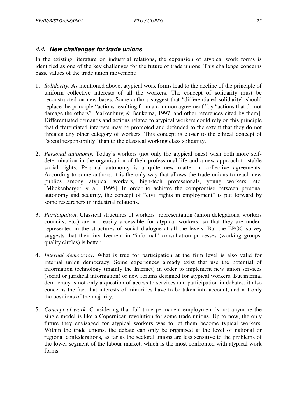## <span id="page-25-0"></span>*4.4. New challenges for trade unions*

In the existing literature on industrial relations, the expansion of atypical work forms is identified as one of the key challenges for the future of trade unions. This challenge concerns basic values of the trade union movement:

- 1. *Solidarity*. As mentioned above, atypical work forms lead to the decline of the principle of uniform collective interests of all the workers. The concept of solidarity must be reconstructed on new bases. Some authors suggest that "differentiated solidarity" should replace the principle "actions resulting from a common agreement" by "actions that do not damage the others" [Valkenburg & Beukema, 1997, and other references cited by them]. Differentiated demands and actions related to atypical workers could rely on this principle that differentiated interests may be promoted and defended to the extent that they do not threaten any other category of workers. This concept is closer to the ethical concept of "social responsibility" than to the classical working class solidarity.
- 2. *Personal autonomy*. Today's workers (not only the atypical ones) wish both more selfdetermination in the organisation of their professional life and a new approach to stable social rights. Personal autonomy is a quite new matter in collective agreements. According to some authors, it is the only way that allows the trade unions to reach new publics among atypical workers, high-tech professionals, young workers, etc. [Mückenberger & al., 1995]. In order to achieve the compromise between personal autonomy and security, the concept of "civil rights in employment" is put forward by some researchers in industrial relations.
- 3. *Participation*. Classical structures of workers' representation (union delegations, workers councils, etc.) are not easily accessible for atypical workers, so that they are underrepresented in the structures of social dialogue at all the levels. But the EPOC survey suggests that their involvement in "informal" consultation processes (working groups, quality circles) is better.
- 4. *Internal democracy*. What is true for participation at the firm level is also valid for internal union democracy. Some experiences already exist that use the potential of information technology (mainly the Internet) in order to implement new union services (social or juridical information) or new forums designed for atypical workers. But internal democracy is not only a question of access to services and participation in debates, it also concerns the fact that interests of minorities have to be taken into account, and not only the positions of the majority.
- 5. *Concept of work.* Considering that full-time permanent employment is not anymore the single model is like a Copernican revolution for some trade unions. Up to now, the only future they envisaged for atypical workers was to let them become typical workers. Within the trade unions, the debate can only be organised at the level of national or regional confederations, as far as the sectoral unions are less sensitive to the problems of the lower segment of the labour market, which is the most confronted with atypical work forms.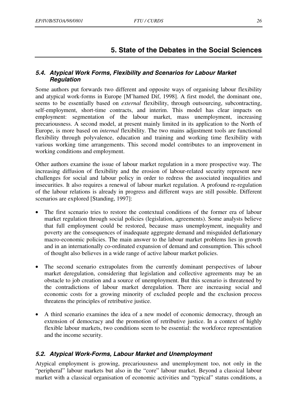# **5. State of the Debates in the Social Sciences**

#### <span id="page-26-0"></span>*5.4. Atypical Work Forms, Flexibility and Scenarios for Labour Market Regulation*

Some authors put forwards two different and opposite ways of organising labour flexibility and atypical work-forms in Europe [M'hamed Dif, 1998]. A first model, the dominant one, seems to be essentially based on *external* flexibility, through outsourcing, subcontracting, self-employment, short-time contracts, and interim. This model has clear impacts on employment: segmentation of the labour market, mass unemployment, increasing precariousness. A second model, at present mainly limited in its application to the North of Europe, is more based on *internal* flexibility. The two mains adjustment tools are functional flexibility through polyvalence, education and training and working time flexibility with various working time arrangements. This second model contributes to an improvement in working conditions and employment.

Other authors examine the issue of labour market regulation in a more prospective way. The increasing diffusion of flexibility and the erosion of labour-related security represent new challenges for social and labour policy in order to redress the associated inequalities and insecurities. It also requires a renewal of labour market regulation. A profound re-regulation of the labour relations is already in progress and different ways are still possible. Different scenarios are explored [Standing, 1997]:

- The first scenario tries to restore the contextual conditions of the former era of labour market regulation through social policies (legislation, agreements). Some analysts believe that full employment could be restored, because mass unemployment, inequality and poverty are the consequences of inadequate aggregate demand and misguided deflationary macro-economic policies. The main answer to the labour market problems lies in growth and in an internationally co-ordinated expansion of demand and consumption. This school of thought also believes in a wide range of active labour market policies.
- The second scenario extrapolates from the currently dominant perspectives of labour market deregulation, considering that legislation and collective agreements may be an obstacle to job creation and a source of unemployment. But this scenario is threatened by the contradictions of labour market deregulation. There are increasing social and economic costs for a growing minority of excluded people and the exclusion process threatens the principles of retributive justice.
- A third scenario examines the idea of a new model of economic democracy, through an extension of democracy and the promotion of retributive justice. In a context of highly flexible labour markets, two conditions seem to be essential: the workforce representation and the income security.

#### *5.2. Atypical Work-Forms, Labour Market and Unemployment*

Atypical employment is growing, precariousness and unemployment too, not only in the "peripheral" labour markets but also in the "core" labour market. Beyond a classical labour market with a classical organisation of economic activities and "typical" status conditions, a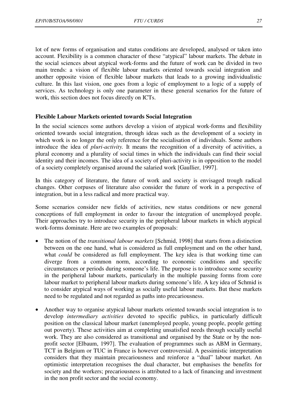<span id="page-27-0"></span>lot of new forms of organisation and status conditions are developed, analysed or taken into account. Flexibility is a common character of these "atypical" labour markets. The debate in the social sciences about atypical work-forms and the future of work can be divided in two main trends: a vision of flexible labour markets oriented towards social integration and another opposite vision of flexible labour markets that leads to a growing individualistic culture. In this last vision, one goes from a logic of employment to a logic of a supply of services. As technology is only one parameter in these general scenarios for the future of work, this section does not focus directly on ICTs.

#### **Flexible Labour Markets oriented towards Social Integration**

In the social sciences some authors develop a vision of atypical work-forms and flexibility oriented towards social integration, through ideas such as the development of a society in which work is no longer the only reference for the socialisation of individuals. Some authors introduce the idea of *pluri-activity.* It means the recognition of a diversity of activities, a plural economy and a plurality of social times in which the individuals can find their social identity and their incomes. The idea of a society of pluri-activity is in opposition to the model of a society completely organised around the salaried work [Gaullier, 1997].

In this category of literature, the future of work and society is envisaged trough radical changes. Other corpuses of literature also consider the future of work in a perspective of integration, but in a less radical and more practical way.

Some scenarios consider new fields of activities, new status conditions or new general conceptions of full employment in order to favour the integration of unemployed people. Their approaches try to introduce security in the peripheral labour markets in which atypical work-forms dominate. Here are two examples of proposals:

- The notion of the *transitional labour markets* [Schmid, 1998] that starts from a distinction between on the one hand, what is considered as full employment and on the other hand, what *could* be considered as full employment. The key idea is that working time can diverge from a common norm, according to economic conditions and specific circumstances or periods during someone's life. The purpose is to introduce some security in the peripheral labour markets, particularly in the multiple passing forms from core labour market to peripheral labour markets during someone's life. A key idea of Schmid is to consider atypical ways of working as socially useful labour markets. But these markets need to be regulated and not regarded as paths into precariousness.
- Another way to organise atypical labour markets oriented towards social integration is to develop *intermediary activities* devoted to specific publics, in particularly difficult position on the classical labour market (unemployed people, young people, people getting out poverty). These activities aim at completing unsatisfied needs through socially useful work. They are also considered as transitional and organised by the State or by the nonprofit sector [Elbaum, 1997]. The evaluation of programmes such as ABM in Germany, TCT in Belgium or TUC in France is however controversial. A pessimistic interpretation considers that they maintain precariousness and reinforce a "dual" labour market. An optimistic interpretation recognises the dual character, but emphasises the benefits for society and the workers; precariousness is attributed to a lack of financing and investment in the non profit sector and the social economy.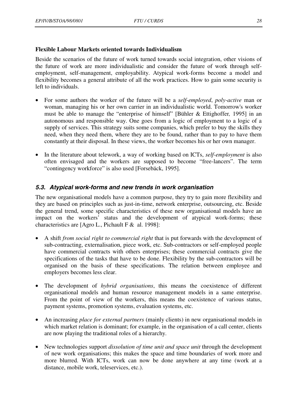#### <span id="page-28-0"></span>**Flexible Labour Markets oriented towards Individualism**

Beside the scenarios of the future of work turned towards social integration, other visions of the future of work are more individualistic and consider the future of work through selfemployment, self-management, employability. Atypical work-forms become a model and flexibility becomes a general attribute of all the work practices. How to gain some security is left to individuals.

- For some authors the worker of the future will be a *self-employed*, *poly-active* man or woman, managing his or her own carrier in an individualistic world. Tomorrow's worker must be able to manage the "enterprise of himself" [Bühler & Ettighoffer*,* 1995] in an autonomous and responsible way. One goes from a logic of employment to a logic of a supply of services. This strategy suits some companies, which prefer to buy the skills they need, when they need them, where they are to be found, rather than to pay to have them constantly at their disposal. In these views, the worker becomes his or her own manager.
- In the literature about telework, a way of working based on ICTs, *self-employment* is also often envisaged and the workers are supposed to become "free-lancers". The term "contingency workforce" is also used [Forsebäck, 1995].

## *5.3. Atypical work-forms and new trends in work organisation*

The new organisational models have a common purpose, they try to gain more flexibility and they are based on principles such as just-in-time, network enterprise, outsourcing, etc. Beside the general trend, some specific characteristics of these new organisational models have an impact on the workers' status and the development of atypical work-forms; these characteristics are [Agro L., Pichault F  $\&$  al. 1998]:

- A shift *from social right to commercial right* that is put forwards with the development of sub-contracting, externalisation, piece work, etc. Sub-contractors or self-employed people have commercial contracts with others enterprises; these commercial contracts give the specifications of the tasks that have to be done. Flexibility by the sub-contractors will be organised on the basis of these specifications. The relation between employee and employers becomes less clear.
- The development of *hybrid organisations*, this means the coexistence of different organisational models and human resource management models in a same enterprise. From the point of view of the workers, this means the coexistence of various status, payment systems, promotion systems, evaluation systems, etc.
- An increasing *place for external partners* (mainly clients) in new organisational models in which market relation is dominant; for example, in the organisation of a call center, clients are now playing the traditional roles of a hierarchy.
- New technologies support *dissolution of time unit and space unit* through the development of new work organisations; this makes the space and time boundaries of work more and more blurred. With ICTs, work can now be done anywhere at any time (work at a distance, mobile work, teleservices, etc.).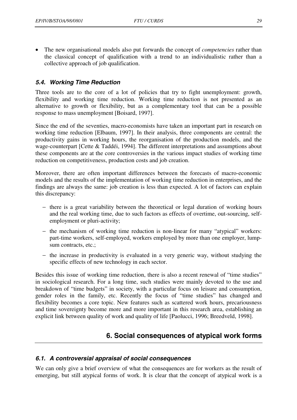<span id="page-29-0"></span>• The new organisational models also put forwards the concept of *competencies* rather than the classical concept of qualification with a trend to an individualistic rather than a collective approach of job qualification.

## *5.4. Working Time Reduction*

Three tools are to the core of a lot of policies that try to fight unemployment: growth, flexibility and working time reduction. Working time reduction is not presented as an alternative to growth or flexibility, but as a complementary tool that can be a possible response to mass unemployment [Boisard, 1997].

Since the end of the seventies, macro-economists have taken an important part in research on working time reduction [Elbaum, 1997]. In their analysis, three components are central: the productivity gains in working hours, the reorganisation of the production models, and the wage-counterpart [Cette & Taddéi, 1994]. The different interpretations and assumptions about these components are at the core controversies in the various impact studies of working time reduction on competitiveness, production costs and job creation.

Moreover, there are often important differences between the forecasts of macro-economic models and the results of the implementation of working time reduction in enterprises, and the findings are always the same: job creation is less than expected. A lot of factors can explain this discrepancy:

- − there is a great variability between the theoretical or legal duration of working hours and the real working time, due to such factors as effects of overtime, out-sourcing, selfemployment or pluri-activity;
- − the mechanism of working time reduction is non-linear for many "atypical" workers: part-time workers, self-employed, workers employed by more than one employer, lumpsum contracts, etc.;
- − the increase in productivity is evaluated in a very generic way, without studying the specific effects of new technology in each sector.

Besides this issue of working time reduction, there is also a recent renewal of "time studies" in sociological research. For a long time, such studies were mainly devoted to the use and breakdown of "time budgets" in society, with a particular focus on leisure and consumption, gender roles in the family, etc. Recently the focus of "time studies" has changed and flexibility becomes a core topic. New features such as scattered work hours, precariousness and time sovereignty become more and more important in this research area, establishing an explicit link between quality of work and quality of life [Paolucci, 1996; Breedveld, 1998].

# **6. Social consequences of atypical work forms**

#### *6.1. A controversial appraisal of social consequences*

We can only give a brief overview of what the consequences are for workers as the result of emerging, but still atypical forms of work. It is clear that the concept of atypical work is a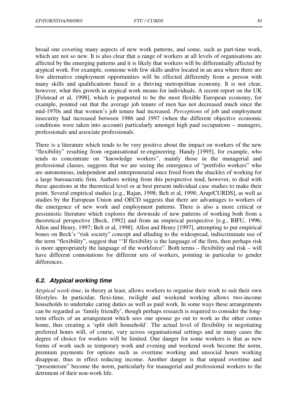<span id="page-30-0"></span>broad one covering many aspects of new work patterns, and some, such as part-time work, which are not so new. It is also clear that a range of workers at all levels of organisations are affected by the emerging patterns and it is likely that workers will be differentially affected by atypical work. For example, someone with few skills and/or located in an area where there are few alternative employment opportunities will be effected differently from a person with many skills and qualifications based in a thriving metropolitan economy. It is not clear, however, what this growth in atypical work means for individuals. A recent report on the UK [Felstead et al, 1998], which is purported to be the most flexible European economy, for example, pointed out that the average job tenure of men has not decreased much since the mid-1970s and that women's job tenure had increased. *Perceptions* of job and employment insecurity had increased between 1986 and 1997 (when the different objective economic conditions were taken into account) particularly amongst high paid occupations – managers, professionals and associate professionals.

There is a literature which tends to be very positive about the impact on workers of the new "flexibility" resulting from organisational re-engineering. Handy [1995], for example, who tends to concentrate on "knowledge workers", mainly those in the managerial and professional classes, suggests that we are seeing the emergence of "portfolio workers" who are autonomous, independent and entrepreneurial once freed from the shackles of working for a large bureaucratic firm. Authors writing from this perspective tend, however, to deal with these questions at the theoretical level or at best present individual case studies to make their point. Several empirical studies [e.g., Rajan, 1998; Belt et al, 1998; Arup/CURDS], as well as studies by the European Union and OECD suggests that there are advantages to workers of the emergence of new work and employment patterns. There is also a more critical or pessimistic literature which explores the downside of new patterns of working both from a theoretical perspective [Beck, 1992] and from an empirical perspective [e.g., BIFU, 1996; Allen and Henry, 1997; Belt et al, 1998]. Allen and Henry [1997], attempting to put empirical bones on Beck's "risk society" concept and alluding to the widespread, indiscriminate use of the term "flexibility", suggest that "'If flexibility is the language of the firm, then perhaps risk is more appropriately the language of the workforce". Both terms – flexibility and risk – will have different connotations for different sets of workers, pointing in particular to gender differences.

## *6.2. Atypical working time*

*Atypical work-time*, in theory at least, allows workers to organise their work to suit their own lifestyles. In particular, flexi-time, twilight and weekend working allows two-income households to undertake caring duties as well as paid work. In some ways these arrangements can be regarded as 'family friendly', though perhaps research is required to consider the longterm effects of an arrangement which sees one spouse go out to work as the other comes home, thus creating a 'split shift household'. The actual level of flexibility in negotiating preferred hours will, of course, vary across organisational settings and in many cases the degree of choice for workers will be limited. One danger for some workers is that as new forms of work such as temporary work and evening and weekend work become the norm, premium payments for options such as overtime working and unsocial hours working disappear, thus in effect reducing income. Another danger is that unpaid overtime and "presenteism" become the norm, particularly for managerial and professional workers to the detriment of their non-work life.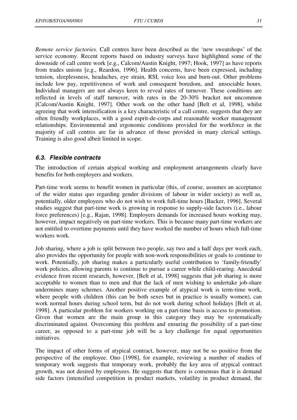<span id="page-31-0"></span>*Remote service factories.* Call centres have been described as the 'new sweatshops' of the service economy. Recent reports based on industry surveys have highlighted some of the downside of call centre work [e.g., Calcom/Austin Knight, 1997; Hook, 1997] as have reports from trades unions [e.g., Reardon, 1996]. Health concerns, have been expressed, including tension, sleeplessness, headaches, eye strain, RSI, voice loss and burn-out. Other problems include low pay, repetitiveness of work and consequent boredom, and unsociable hours. Individual managers are not always keen to reveal rates of turnover. These conditions are reflected in levels of staff turnover, with rates in the 20-30% bracket not uncommon [Calcom/Austin Knight, 1997]. Other work on the other hand [Belt et al, 1998], whilst agreeing that work intensification is a key characteristic of a call centre, suggests that they are often friendly workplaces, with a good esprit-de-corps and reasonable worker management relationships. Environmental and ergonomic conditions provided for the workforce in the majority of call centres are far in advance of those provided in many clerical settings. Training is also good albeit limited in scope.

#### *6.3. Flexible contracts*

The introduction of certain atypical working and employment arrangements clearly have benefits for both employers and workers.

Part-time work seems to benefit women in particular (this, of course, assumes an acceptance of the wider status quo regarding gender divisions of labour in wider society) as well as, potentially, older employees who do not wish to work full-time hours [Backer, 1996]. Several studies suggest that part-time work is growing in response to supply-side factors (i.e., labour force preferences) [e.g., Rajan, 1998]. Employers demands for increased hours working may, however, impact negatively on part-time workers. This is because many part-time workers are not entitled to overtime payments until they have worked the number of hours which full-time workers work.

Job sharing, where a job is split between two people, say two and a half days per week each, also provides the opportunity for people with non-work responsibilities or goals to continue to work. Potentially, job sharing makes a particularly useful contribution to 'family-friendly' work policies, allowing parents to continue to pursue a career while child-rearing. Anecdotal evidence from recent research, however, [Belt et al, 1998] suggests that job sharing is more acceptable to women than to men and that the lack of men wishing to undertake job-share undermines many schemes. Another positive example of atypical work is term-time work, where people with children (this can be both sexes but in practice is usually women), can work normal hours during school term, but do not work during school holidays [Belt et al, 1998]. A particular problem for workers working on a part-time basis is access to promotion. Given that women are the main group in this category they may be systematically discriminated against. Overcoming this problem and ensuring the possibility of a part-time career, as opposed to a part-time job will be a key challenge for equal opportunities initiatives.

The impact of other forms of atypical contract, however, may not be so positive from the perspective of the employee. Ono [1998], for example, reviewing a number of studies of temporary work suggests that temporary work, probably the key area of atypical contract growth, was not desired by employees. He suggests that there is consensus that it is demand side factors (intensified competition in product markets, volatility in product demand, the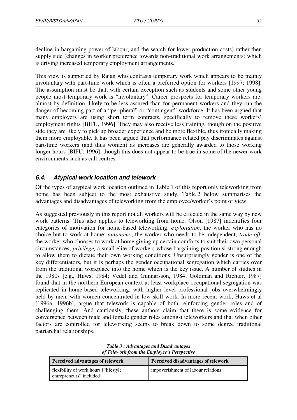<span id="page-32-0"></span>decline in bargaining power of labour, and the search for lower production costs) rather then supply side (changes in worker preference towards non-traditional work arrangements) which is driving increased temporary employment arrangements.

This view is supported by Rajan who contrasts temporary work which appears to be mainly involuntary with part-time work which is often a preferred option for workers [1997; 1998]. The assumption must be that, with certain exception such as students and some other young people most temporary work is "involuntary". Career prospects for temporary workers are, almost by definition, likely to be less assured than for permanent workers and they run the danger of becoming part of a "peripheral" or "contingent" workforce. It has been argued that many employers are using short term contracts, specifically to remove these workers' employment rights [BIFU, 1996]. They may also receive less training, though on the positive side they are likely to pick up broader experience and be more flexible, thus ironically making them more employable. It has been argued that performance related pay discriminates against part-time workers (and thus women) as increases are generally awarded to those working longer hours [BIFU, 1996], though this does not appear to be true in some of the newer work environments such as call centres.

## *6.4. Atypical work location and telework*

Of the types of atypical work location outlined in Table 1 of this report only teleworking from home has been subject to the most exhaustive study. Table 2 below summarises the advantages and disadvantages of teleworking from the employee/worker's point of view.

As suggested previously in this report not all workers will be effected in the same way by new work patterns. This also applies to teleworking from home. Olson [1987] indentifies four categories of motivation for home-based teleworking: *exploitation*, the worker who has no choice but to work at home; *autonomy*, the worker who needs to be independent; *trade-off*, the worker who chooses to work at home giving up certain comforts to suit their own personal circumstances; *privilege,* a small elite of workers whose bargaining position si strong enough to allow them to dictate their own working conditions. Unsurprisingly gender is one of the key differentiators, but it is perhaps the gender occupational segregation which carries over from the traditional workplace into the home which is the key issue. A number of studies in the 1980s [e.g., Huws, 1984; Vedel and Gunnarsson, 1984; Goldman and Richter, 1987] found that in the northern European context at least workplace occupational segregation was replicated in home-based teleworking, with higher level professional jobs overwhelmingly held by men, with women concentrated in low skill work. In more recent work, Huws et al [1996a; 1996b], argue that telework is capable of both reinforcing gender roles and of challenging them. And cautiously, these authors claim that there is some evidence for convergence between male and female gender roles amongst teleworkers and that when other factors are controlled for teleworking seems to break down to some degree traditional patriarchal relationships.

| Table 3 : Advantages and Disadvantages      |
|---------------------------------------------|
| of Telework from the Employee's Perspective |

| Perceived advantages of telework                                 | Perceived disadvantages of telework |
|------------------------------------------------------------------|-------------------------------------|
| flexibility of work hours ["lifestyle<br>entrepreneurs" included | impoverishment of labour relations  |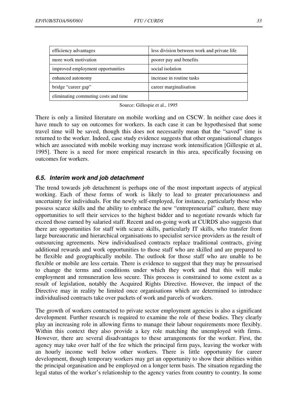<span id="page-33-0"></span>

| efficiency advantages                | less division between work and private life |
|--------------------------------------|---------------------------------------------|
| more work motivation                 | poorer pay and benefits                     |
| improved employment opportunities    | social isolation                            |
| enhanced autonomy                    | increase in routine tasks                   |
| bridge "career gap"                  | career marginalisation                      |
| eliminating commuting costs and time |                                             |

Source: Gillespie et al., 1995

There is only a limited literature on mobile working and on CSCW. In neither case does it have much to say on outcomes for workers. In each case it can be hypothesised that some travel time will be saved, though this does not necessarily mean that the "saved" time is returned to the worker. Indeed, case study evidence suggests that other organisational changes which are associated with mobile working may increase work intensification [Gillespie et al, 1995]. There is a need for more empirical research in this area, specifically focusing on outcomes for workers.

#### *6.5. Interim work and job detachment*

The trend towards job detachment is perhaps one of the most important aspects of atypical working. Each of these forms of work is likely to lead to greater precariousness and uncertainty for individuals. For the newly self-employed, for instance, particularly those who possess scarce skills and the ability to embrace the new "entrepreneurial" culture, there may opportunities to sell their services to the highest bidder and to negotiate rewards which far exceed those earned by salaried staff. Recent and on-going work at CURDS also suggests that there are opportunities for staff with scarce skills, particularly IT skills, who transfer from large bureaucratic and hierarchical organisations to specialist service providers as the result of outsourcing agreements. New individualised contracts replace traditional contracts, giving additional rewards and work opportunities to those staff who are skilled and are prepared to be flexible and geographically mobile. The outlook for those staff who are unable to be flexible or mobile are less certain. There is evidence to suggest that they may be pressurised to change the terms and conditions under which they work and that this will make employment and remuneration less secure. This process is constrained to some extent as a result of legislation, notably the Acquired Rights Directive. However, the impact of the Directive may in reality be limited once organisations which are determined to introduce individualised contracts take over packets of work and parcels of workers.

The growth of workers contracted to private sector employment agencies is also a significant development. Further research is required to examine the role of these bodies. They clearly play an increasing role in allowing firms to manage their labour requirements more flexibly. Within this context they also provide a key role matching the unemployed with firms. However, there are several disadvantages to these arrangements for the worker. First, the agency may take over half of the fee which the principal firm pays, leaving the worker with an hourly income well below other workers. There is little opportunity for career development, though temporary workers may get an opportunity to show their abilities within the principal organisation and be employed on a longer term basis. The situation regarding the legal status of the worker's relationship to the agency varies from country to country. In some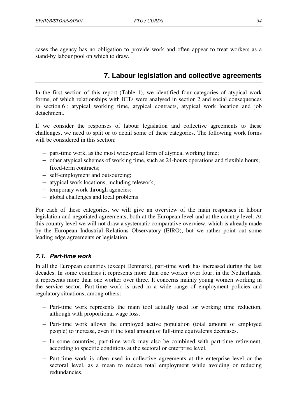<span id="page-34-0"></span>cases the agency has no obligation to provide work and often appear to treat workers as a stand-by labour pool on which to draw.

# **7. Labour legislation and collective agreements**

In the first section of this report (Table 1), we identified four categories of atypical work forms, of which relationships with ICTs were analysed in section 2 and social consequences in section 6 : atypical working time, atypical contracts, atypical work location and job detachment.

If we consider the responses of labour legislation and collective agreements to these challenges, we need to split or to detail some of these categories. The following work forms will be considered in this section:

- − part-time work, as the most widespread form of atypical working time;
- − other atypical schemes of working time, such as 24-hours operations and flexible hours;
- − fixed-term contracts;
- − self-employment and outsourcing;
- − atypical work locations, including telework;
- − temporary work through agencies;
- − global challenges and local problems.

For each of these categories, we will give an overview of the main responses in labour legislation and negotiated agreements, both at the European level and at the country level. At this country level we will not draw a systematic comparative overview, which is already made by the European Industrial Relations Observatory (EIRO), but we rather point out some leading edge agreements or legislation.

#### *7.1. Part-time work*

In all the European countries (except Denmark), part-time work has increased during the last decades. In some countries it represents more than one worker over four; in the Netherlands, it represents more than one worker over three. It concerns mainly young women working in the service sector. Part-time work is used in a wide range of employment policies and regulatory situations, among others:

- − Part-time work represents the main tool actually used for working time reduction, although with proportional wage loss.
- − Part-time work allows the employed active population (total amount of employed people) to increase, even if the total amount of full-time equivalents decreases.
- − In some countries, part-time work may also be combined with part-time retirement, according to specific conditions at the sectoral or enterprise level.
- − Part-time work is often used in collective agreements at the enterprise level or the sectoral level, as a mean to reduce total employment while avoiding or reducing redundancies.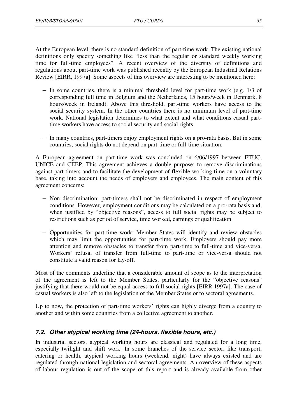<span id="page-35-0"></span>At the European level, there is no standard definition of part-time work. The existing national definitions only specify something like "less than the regular or standard weekly working time for full-time employees". A recent overview of the diversity of definitions and regulations about part-time work was published recently by the European Industrial Relations Review [EIRR, 1997a]. Some aspects of this overview are interesting to be mentioned here:

- − In some countries, there is a minimal threshold level for part-time work (e.g. 1/3 of corresponding full time in Belgium and the Netherlands, 15 hours/week in Denmark, 8 hours/week in Ireland). Above this threshold, part-time workers have access to the social security system. In the other countries there is no minimum level of part-time work. National legislation determines to what extent and what conditions casual parttime workers have access to social security and social rights.
- − In many countries, part-timers enjoy employment rights on a pro-rata basis. But in some countries, social rights do not depend on part-time or full-time situation.

A European agreement on part-time work was concluded on 6/06/1997 between ETUC, UNICE and CEEP. This agreement achieves a double purpose: to remove discriminations against part-timers and to facilitate the development of flexible working time on a voluntary base, taking into account the needs of employers and employees. The main content of this agreement concerns:

- − Non discrimination: part-timers shall not be discriminated in respect of employment conditions. However, employment conditions may be calculated on a pro-rata basis and, when justified by "objective reasons", access to full social rights may be subject to restrictions such as period of service, time worked, earnings or qualification.
- − Opportunities for part-time work: Member States will identify and review obstacles which may limit the opportunities for part-time work. Employers should pay more attention and remove obstacles to transfer from part-time to full-time and vice-versa. Workers' refusal of transfer from full-time to part-time or vice-versa should not constitute a valid reason for lay-off.

Most of the comments underline that a considerable amount of scope as to the interpretation of the agreement is left to the Member States, particularly for the "objective reasons" justifying that there would not be equal access to full social rights [EIRR 1997a]. The case of casual workers is also left to the legislation of the Member States or to sectoral agreements.

Up to now, the protection of part-time workers' rights can highly diverge from a country to another and within some countries from a collective agreement to another.

## *7.2. Other atypical working time (24-hours, flexible hours, etc.)*

In industrial sectors, atypical working hours are classical and regulated for a long time, especially twilight and shift work. In some branches of the service sector, like transport, catering or health, atypical working hours (weekend, night) have always existed and are regulated through national legislation and sectoral agreements. An overview of these aspects of labour regulation is out of the scope of this report and is already available from other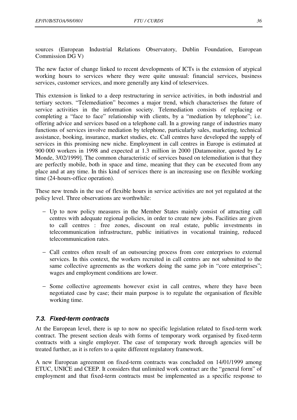<span id="page-36-0"></span>sources (European Industrial Relations Observatory, Dublin Foundation, European Commission DG V)

The new factor of change linked to recent developments of ICTs is the extension of atypical working hours to services where they were quite unusual: financial services, business services, customer services, and more generally any kind of teleservices.

This extension is linked to a deep restructuring in service activities, in both industrial and tertiary sectors. "Telemediation" becomes a major trend, which characterises the future of service activities in the information society. Telemediation consists of replacing or completing a "face to face" relationship with clients, by a "mediation by telephone"; i.e. offering advice and services based on a telephone call. In a growing range of industries many functions of services involve mediation by telephone, particularly sales, marketing, technical assistance, booking, insurance, market studies, etc. Call centres have developed the supply of services in this promising new niche. Employment in call centres in Europe is estimated at 900 000 workers in 1998 and expected at 1.3 million in 2000 [Datamonitor, quoted by Le Monde, 3/02/1999]. The common characteristic of services based on telemediation is that they are perfectly mobile, both in space and time, meaning that they can be executed from any place and at any time. In this kind of services there is an increasing use on flexible working time (24-hours-office operation).

These new trends in the use of flexible hours in service activities are not yet regulated at the policy level. Three observations are worthwhile:

- − Up to now policy measures in the Member States mainly consist of attracting call centres with adequate regional policies, in order to create new jobs. Facilities are given to call centres : free zones, discount on real estate, public investments in telecommunication infrastructure, public initiatives in vocational training, reduced telecommunication rates.
- − Call centres often result of an outsourcing process from core enterprises to external services. In this context, the workers recruited in call centres are not submitted to the same collective agreements as the workers doing the same job in "core enterprises"; wages and employment conditions are lower.
- − Some collective agreements however exist in call centres, where they have been negotiated case by case; their main purpose is to regulate the organisation of flexible working time.

#### *7.3. Fixed-term contracts*

At the European level, there is up to now no specific legislation related to fixed-term work contract. The present section deals with forms of temporary work organised by fixed-term contracts with a single employer. The case of temporary work through agencies will be treated further, as it is refers to a quite different regulatory framework.

A new European agreement on fixed-term contracts was concluded on 14/01/1999 among ETUC, UNICE and CEEP. It considers that unlimited work contract are the "general form" of employment and that fixed-term contracts must be implemented as a specific response to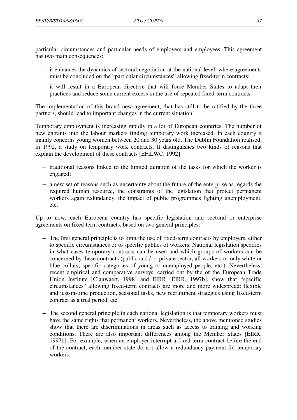particular circumstances and particular needs of employers and employees. This agreement has two main consequences:

- − it enhances the dynamics of sectoral negotiation at the national level, where agreements must be concluded on the "particular circumstances" allowing fixed-term contracts;
- − it will result in a European directive that will force Member States to adapt their practices and reduce some current excess in the use of repeated fixed-term contracts.

The implementation of this brand new agreement, that has still to be ratified by the three partners, should lead to important changes in the current situation.

Temporary employment is increasing rapidly in a lot of European countries. The number of new entrants into the labour markets finding temporary work increased. In each country it mainly concerns young women between 20 and 30 years old. The Dublin Foundation realised, in 1992, a study on temporary work contracts. It distinguishes two kinds of reasons that explain the development of these contracts [EFILWC, 1992]:

- − traditional reasons linked to the limited duration of the tasks for which the worker is engaged;
- − a new set of reasons such as uncertainty about the future of the enterprise as regards the required human resource, the constraints of the legislation that protect permanent workers again redundancy, the impact of public programmes fighting unemployment, etc.

Up to now, each European country has specific legislation and sectoral or enterprise agreements on fixed-term contracts, based on two general principles:

- − The first general principle is to limit the use of fixed-term contracts by employers, either to specific circumstances or to specific publics of workers. National legislation specifies in what cases temporary contracts can be used and which groups of workers can be concerned by these contracts (public and / or private sector, all workers or only white or blue collars, specific categories of young or unemployed people, etc.). Nevertheless, recent empirical and comparative surveys, carried out by the of the European Trade Union Institute [Clauwaert, 1998] and EIRR [EIRR, 1997b], show that "specific circumstances" allowing fixed-term contracts are more and more widespread: flexible and just-in-time production, seasonal tasks, new recruitment strategies using fixed-term contract as a trial period, etc.
- − The second general principle in each national legislation is that temporary workers must have the same rights that permanent workers. Nevertheless, the above mentioned studies show that there are discriminations in areas such as access to training and working conditions. There are also important differences among the Member States [EIRR, 1997b]. For example, when an employer interrupt a fixed-term contract before the end of the contract, each member state do not allow a redundancy payment for temporary workers.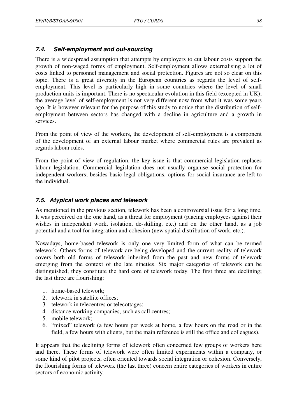## <span id="page-38-0"></span>*7.4. Self-employment and out-sourcing*

There is a widespread assumption that attempts by employers to cut labour costs support the growth of non-waged forms of employment. Self-employment allows externalising a lot of costs linked to personnel management and social protection. Figures are not so clear on this topic. There is a great diversity in the European countries as regards the level of selfemployment. This level is particularly high in some countries where the level of small production units is important. There is no spectacular evolution in this field (excepted in UK); the average level of self-employment is not very different now from what it was some years ago. It is however relevant for the purpose of this study to notice that the distribution of selfemployment between sectors has changed with a decline in agriculture and a growth in services.

From the point of view of the workers, the development of self-employment is a component of the development of an external labour market where commercial rules are prevalent as regards labour rules.

From the point of view of regulation, the key issue is that commercial legislation replaces labour legislation. Commercial legislation does not usually organise social protection for independent workers; besides basic legal obligations, options for social insurance are left to the individual.

#### *7.5. Atypical work places and telework*

As mentioned in the previous section, telework has been a controversial issue for a long time. It was perceived on the one hand, as a threat for employment (placing employees against their wishes in independent work, isolation, de-skilling, etc.) and on the other hand, as a job potential and a tool for integration and cohesion (new spatial distribution of work, etc.).

Nowadays, home-based telework is only one very limited form of what can be termed telework. Others forms of telework are being developed and the current reality of telework covers both old forms of telework inherited from the past and new forms of telework emerging from the context of the late nineties. Six major categories of telework can be distinguished; they constitute the hard core of telework today. The first three are declining; the last three are flourishing:

- 1. home-based telework;
- 2. telework in satellite offices;
- 3. telework in telecentres or telecottages;
- 4. distance working companies, such as call centres;
- 5. mobile telework;
- 6. "mixed" telework (a few hours per week at home, a few hours on the road or in the field, a few hours with clients, but the main reference is still the office and colleagues).

It appears that the declining forms of telework often concerned few groups of workers here and there. These forms of telework were often limited experiments within a company, or some kind of pilot projects, often oriented towards social integration or cohesion. Conversely, the flourishing forms of telework (the last three) concern entire categories of workers in entire sectors of economic activity.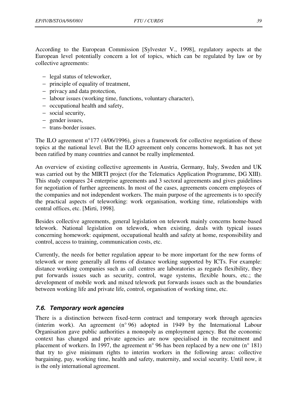<span id="page-39-0"></span>According to the European Commission [Sylvester V., 1998], regulatory aspects at the European level potentially concern a lot of topics, which can be regulated by law or by collective agreements:

- − legal status of teleworker,
- − principle of equality of treatment,
- − privacy and data protection,
- − labour issues (working time, functions, voluntary character),
- − occupational health and safety,
- − social security,
- − gender issues,
- − trans-border issues.

The ILO agreement n°177 (4/06/1996), gives a framework for collective negotiation of these topics at the national level. But the ILO agreement only concerns homework. It has not yet been ratified by many countries and cannot be really implemented.

An overview of existing collective agreements in Austria, Germany, Italy, Sweden and UK was carried out by the MIRTI project (for the Telematics Application Programme, DG XIII). This study compares 24 enterprise agreements and 3 sectoral agreements and gives guidelines for negotiation of further agreements. In most of the cases, agreements concern employees of the companies and not independent workers. The main purpose of the agreements is to specify the practical aspects of teleworking: work organisation, working time, relationships with central offices, etc. [Mirti, 1998].

Besides collective agreements, general legislation on telework mainly concerns home-based telework. National legislation on telework, when existing, deals with typical issues concerning homework: equipment, occupational health and safety at home, responsibility and control, access to training, communication costs, etc.

Currently, the needs for better regulation appear to be more important for the new forms of telework or more generally all forms of distance working supported by ICTs. For example: distance working companies such as call centres are laboratories as regards flexibility, they put forwards issues such as security, control, wage systems, flexible hours, etc.; the development of mobile work and mixed telework put forwards issues such as the boundaries between working life and private life, control, organisation of working time, etc.

#### *7.6. Temporary work agencies*

There is a distinction between fixed-term contract and temporary work through agencies (interim work). An agreement (n° 96) adopted in 1949 by the International Labour Organisation gave public authorities a monopoly as employment agency. But the economic context has changed and private agencies are now specialised in the recruitment and placement of workers. In 1997, the agreement n° 96 has been replaced by a new one (n° 181) that try to give minimum rights to interim workers in the following areas: collective bargaining, pay, working time, health and safety, maternity, and social security. Until now, it is the only international agreement.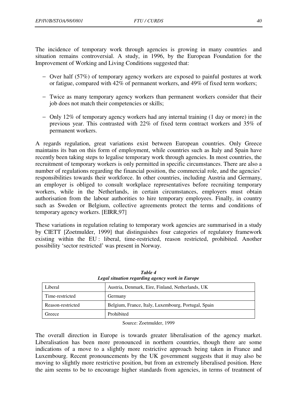The incidence of temporary work through agencies is growing in many countries and situation remains controversial. A study, in 1996, by the European Foundation for the Improvement of Working and Living Conditions suggested that:

- − Over half (57%) of temporary agency workers are exposed to painful postures at work or fatigue, compared with 42% of permanent workers, and 49% of fixed term workers;
- − Twice as many temporary agency workers than permanent workers consider that their job does not match their competencies or skills;
- − Only 12% of temporary agency workers had any internal training (1 day or more) in the previous year. This contrasted with 22% of fixed term contract workers and 35% of permanent workers.

A regards regulation, great variations exist between European countries. Only Greece maintains its ban on this form of employment, while countries such as Italy and Spain have recently been taking steps to legalise temporary work through agencies. In most countries, the recruitment of temporary workers is only permitted in specific circumstances. There are also a number of regulations regarding the financial position, the commercial role, and the agencies' responsibilities towards their workforce. In other countries, including Austria and Germany, an employer is obliged to consult workplace representatives before recruiting temporary workers, while in the Netherlands, in certain circumstances, employers must obtain authorisation from the labour authorities to hire temporary employees. Finally, in country such as Sweden or Belgium, collective agreements protect the terms and conditions of temporary agency workers. [EIRR,97]

These variations in regulation relating to temporary work agencies are summarised in a study by CIETT [Zoetmulder, 1999] that distinguishes four categories of regulatory framework existing within the EU : liberal, time-restricted, reason restricted, prohibited. Another possibility 'sector restricted' was present in Norway.

| Austria, Denmark, Eire, Finland, Netherlands, UK<br>Liberal |                                                     |
|-------------------------------------------------------------|-----------------------------------------------------|
| Time-restricted                                             | Germany                                             |
| Reason-restricted                                           | Belgium, France, Italy, Luxembourg, Portugal, Spain |
| Greece                                                      | Prohibited                                          |

*Table 4 Legal situation regarding agency work in Europe* 

Source: Zoetmulder, 1999

The overall direction in Europe is towards greater liberalisation of the agency market. Liberalisation has been more pronounced in northern countries, though there are some indications of a move to a slightly more restrictive approach being taken in France and Luxembourg. Recent pronouncements by the UK government suggests that it may also be moving to slightly more restrictive position, but from an extremely liberalised position. Here the aim seems to be to encourage higher standards from agencies, in terms of treatment of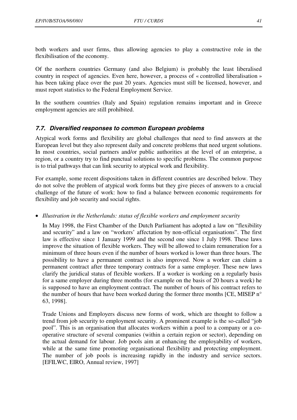<span id="page-41-0"></span>both workers and user firms, thus allowing agencies to play a constructive role in the flexibilisation of the economy.

Of the northern countries Germany (and also Belgium) is probably the least liberalised country in respect of agencies. Even here, however, a process of « controlled liberalisation » has been taking place over the past 20 years. Agencies must still be licensed, however, and must report statistics to the Federal Employment Service.

In the southern countries (Italy and Spain) regulation remains important and in Greece employment agencies are still prohibited.

#### *7.7. Diversified responses to common European problems*

Atypical work forms and flexibility are global challenges that need to find answers at the European level but they also represent daily and concrete problems that need urgent solutions. In most countries, social partners and/or public authorities at the level of an enterprise, a region, or a country try to find punctual solutions to specific problems. The common purpose is to trial pathways that can link security to atypical work and flexibility.

For example, some recent dispositions taken in different countries are described below. They do not solve the problem of atypical work forms but they give pieces of answers to a crucial challenge of the future of work: how to find a balance between economic requirements for flexibility and job security and social rights.

• *Illustration in the Netherlands: status of flexible workers and employment security* 

In May 1998, the First Chamber of the Dutch Parliament has adopted a law on "flexibility and security" and a law on "workers' affectation by non-official organisations". The first law is effective since 1 January 1999 and the second one since 1 July 1998. These laws improve the situation of flexible workers. They will be allowed to claim remuneration for a minimum of three hours even if the number of hours worked is lower than three hours. The possibility to have a permanent contract is also improved. Now a worker can claim a permanent contract after three temporary contracts for a same employer. These new laws clarify the juridical status of flexible workers. If a worker is working on a regularly basis for a same employer during three months (for example on the basis of 20 hours a week) he is supposed to have an employment contract. The number of hours of his contract refers to the number of hours that have been worked during the former three months [CE, MISEP n° 63, 1998].

Trade Unions and Employers discuss new forms of work, which are thought to follow a trend from job security to employment security. A prominent example is the so-called "job pool". This is an organisation that allocates workers within a pool to a company or a cooperative structure of several companies (within a certain region or sector), depending on the actual demand for labour. Job pools aim at enhancing the employability of workers, while at the same time promoting organisational flexibility and protecting employment. The number of job pools is increasing rapidly in the industry and service sectors. [EFILWC, EIRO, Annual review, 1997]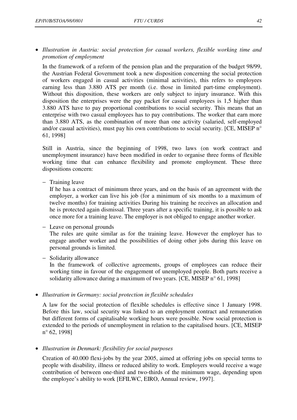• *Illustration in Austria: social protection for casual workers, flexible working time and promotion of employment* 

In the framework of a reform of the pension plan and the preparation of the budget 98/99, the Austrian Federal Government took a new disposition concerning the social protection of workers engaged in casual activities (minimal activities), this refers to employees earning less than 3.880 ATS per month (i.e. those in limited part-time employment). Without this disposition, these workers are only subject to injury insurance. With this disposition the enterprises were the pay packet for casual employees is 1,5 higher than 3.880 ATS have to pay proportional contributions to social security. This means that an enterprise with two casual employees has to pay contributions. The worker that earn more than 3.880 ATS, as the combination of more than one activity (salaried, self-employed and/or casual activities), must pay his own contributions to social security. [CE, MISEP n° 61, 1998]

Still in Austria, since the beginning of 1998, two laws (on work contract and unemployment insurance) have been modified in order to organise three forms of flexible working time that can enhance flexibility and promote employment. These three dispositions concern:

− Training leave

If he has a contract of minimum three years, and on the basis of an agreement with the employer, a worker can live his job (for a minimum of six months to a maximum of twelve months) for training activities During his training he receives an allocation and he is protected again dismissal. Three years after a specific training, it is possible to ask once more for a training leave. The employer is not obliged to engage another worker.

− Leave on personal grounds

The rules are quite similar as for the training leave. However the employer has to engage another worker and the possibilities of doing other jobs during this leave on personal grounds is limited.

− Solidarity allowance

In the framework of collective agreements, groups of employees can reduce their working time in favour of the engagement of unemployed people. Both parts receive a solidarity allowance during a maximum of two years. [CE, MISEP n° 61, 1998]

• *Illustration in Germany: social protection in flexible schedules* 

A law for the social protection of flexible schedules is effective since 1 January 1998. Before this law, social security was linked to an employment contract and remuneration but different forms of capitalisable working hours were possible. Now social protection is extended to the periods of unemployment in relation to the capitalised hours. [CE, MISEP n° 62, 1998]

• *Illustration in Denmark: flexibility for social purposes* 

Creation of 40.000 flexi-jobs by the year 2005, aimed at offering jobs on special terms to people with disability, illness or reduced ability to work. Employers would receive a wage contribution of between one-third and two-thirds of the minimum wage, depending upon the employee's ability to work [EFILWC, EIRO, Annual review, 1997].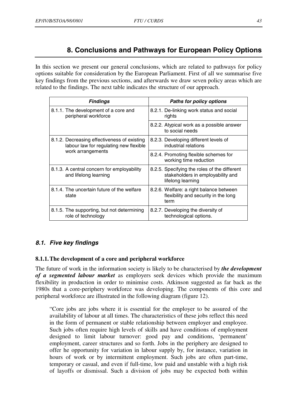# **8. Conclusions and Pathways for European Policy Options**

<span id="page-43-0"></span>In this section we present our general conclusions, which are related to pathways for policy options suitable for consideration by the European Parliament. First of all we summarise five key findings from the previous sections, and afterwards we draw seven policy areas which are related to the findings. The next table indicates the structure of our approach.

| <b>Findings</b>                                                                       | <b>Paths for policy options</b>                                                                        |
|---------------------------------------------------------------------------------------|--------------------------------------------------------------------------------------------------------|
| 8.1.1. The development of a core and<br>peripheral workforce                          | 8.2.1. De-linking work status and social<br>rights                                                     |
|                                                                                       | 8.2.2. Atypical work as a possible answer<br>to social needs                                           |
| 8.1.2. Decreasing effectiveness of existing<br>labour law for regulating new flexible | 8.2.3. Developing different levels of<br>industrial relations                                          |
| work arrangements                                                                     | 8.2.4. Promoting flexible schemes for<br>working time reduction                                        |
| 8.1.3. A central concern for employability<br>and lifelong learning                   | 8.2.5. Specifying the roles of the different<br>stakeholders in employability and<br>lifelong learning |
| 8.1.4. The uncertain future of the welfare<br>state                                   | 8.2.6. Welfare: a right balance between<br>flexibility and security in the long<br>term                |
| 8.1.5. The supporting, but not determining<br>role of technology                      | 8.2.7. Developing the diversity of<br>technological options.                                           |

## *8.1. Five key findings*

#### **8.1.1. The development of a core and peripheral workforce**

The future of work in the information society is likely to be characterised by *the development of a segmented labour market* as employers seek devices which provide the maximum flexibility in production in order to minimise costs. Atkinson suggested as far back as the 1980s that a core-periphery workforce was developing. The components of this core and peripheral workforce are illustrated in the following diagram (figure 12).

"Core jobs are jobs where it is essential for the employer to be assured of the availability of labour at all times. The characteristics of these jobs reflect this need in the form of permanent or stable relationship between employer and employee. Such jobs often require high levels of skills and have conditions of employment designed to limit labour turnover: good pay and conditions, 'permanent' employment, career structures and so forth. Jobs in the periphery are designed to offer he opportunity for variation in labour supply by, for instance, variation in hours of work or by intermittent employment. Such jobs are often part-time, temporary or casual, and even if full-time, low paid and unstable with a high risk of layoffs or dismissal. Such a division of jobs may be expected both within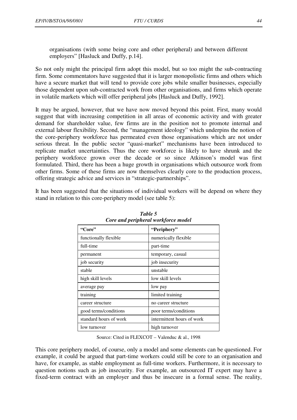organisations (with some being core and other peripheral) and between different employers" [Hasluck and Duffy, p.14].

So not only might the principal firm adopt this model, but so too might the sub-contracting firm. Some commentators have suggested that it is larger monopolistic firms and others which have a secure market that will tend to provide core jobs while smaller businesses, especially those dependent upon sub-contracted work from other organisations, and firms which operate in volatile markets which will offer peripheral jobs [Hasluck and Duffy, 1992].

It may be argued, however, that we have now moved beyond this point. First, many would suggest that with increasing competition in all areas of economic activity and with greater demand for shareholder value, few firms are in the position not to promote internal and external labour flexibility. Second, the "management ideology" which underpins the notion of the core-periphery workforce has permeated even those organisations which are not under serious threat. In the public sector "quasi-market" mechanisms have been introduced to replicate market uncertainties. Thus the core workforce is likely to have shrunk and the periphery workforce grown over the decade or so since Atkinson's model was first formulated. Third, there has been a huge growth in organisations which outsource work from other firms. Some of these firms are now themselves clearly core to the production process, offering strategic advice and services in "strategic-partnerships".

It has been suggested that the situations of individual workers will be depend on where they stand in relation to this core-periphery model (see table 5):

| соге ана регернетат могкротее тошег |                            |  |
|-------------------------------------|----------------------------|--|
| "Core"                              | "Periphery"                |  |
| functionally flexible               | numerically flexible       |  |
| full-time                           | part-time                  |  |
| permanent                           | temporary, casual          |  |
| job security                        | job insecurity             |  |
| stable                              | unstable                   |  |
| high skill levels                   | low skill levels           |  |
| average pay                         | low pay                    |  |
| training                            | limited training           |  |
| career structure                    | no career structure        |  |
| good terms/conditions               | poor terms/conditions      |  |
| standard hours of work              | intermittent hours of work |  |
| low turnover                        | high turnover              |  |

*Table 5 Core and peripheral workforce model* 

Source: Cited in FLEXCOT – Valenduc & al., 1998

This core periphery model, of course, only a model and some elements can be questioned. For example, it could be argued that part-time workers could still be core to an organisation and have, for example, as stable employment as full-time workers. Furthermore, it is necessary to question notions such as job insecurity. For example, an outsourced IT expert may have a fixed-term contract with an employer and thus be insecure in a formal sense. The reality,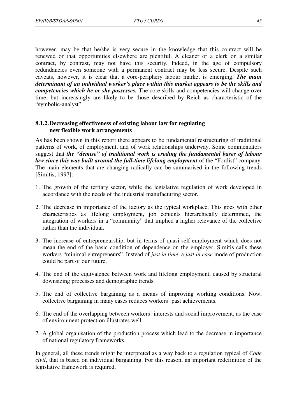<span id="page-45-0"></span>however, may be that he/she is very secure in the knowledge that this contract will be renewed or that opportunities elsewhere are plentiful. A cleaner or a clerk on a similar contract, by contrast, may not have this security. Indeed, in the age of compulsory redundancies even someone with a permanent contract may be less secure. Despite such caveats, however, it is clear that a core-periphery labour market is emerging. *The main determinant of an individual worker's place within this market appears to be the skills and competencies which he or she possesses.* The core skills and competencies will change over time, but increasingly are likely to be those described by Reich as characteristic of the "symbolic-analyst".

#### **8.1.2. Decreasing effectiveness of existing labour law for regulating new flexible work arrangements**

As has been shown in this report there appears to be fundamental restructuring of traditional patterns of work, of employment, and of work relationships underway. Some commentators suggest that *the "demise" of traditional work is eroding the fundamental bases of labour law since this was built around the full-time lifelong employment* of the "Fordist" company. The main elements that are changing radically can be summarised in the following trends [Simitis, 1997]:

- 1. The growth of the tertiary sector, while the legislative regulation of work developed in accordance with the needs of the industrial manufacturing sector.
- 2. The decrease in importance of the factory as the typical workplace. This goes with other characteristics as lifelong employment, job contents hierarchically determined, the integration of workers in a "community" that implied a higher relevance of the collective rather than the individual.
- 3. The increase of entrepreneurship, but in terms of quasi-self-employment which does not mean the end of the basic condition of dependence on the employer. Simitis calls these workers "minimal entrepreneurs". Instead of *just in time*, a *just in case* mode of production could be part of our future.
- 4. The end of the equivalence between work and lifelong employment, caused by structural downsizing processes and demographic trends.
- 5. The end of collective bargaining as a means of improving working conditions. Now, collective bargaining in many cases reduces workers' past achievements.
- 6. The end of the overlapping between workers' interests and social improvement, as the case of environment protection illustrates well.
- 7. A global organisation of the production process which lead to the decrease in importance of national regulatory frameworks.

In general, all these trends might be interpreted as a way back to a regulation typical of *Code civil*, that is based on individual bargaining. For this reason, an important redefinition of the legislative framework is required.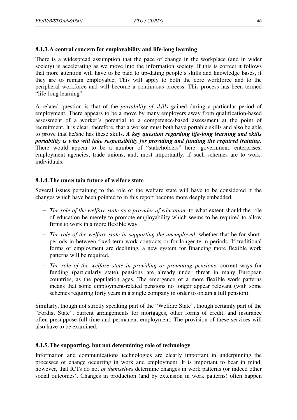## <span id="page-46-0"></span>**8.1.3. A central concern for employability and life-long learning**

There is a widespread assumption that the pace of change in the workplace (and in wider society) is accelerating as we move into the information society. If this is correct it follows that more attention will have to be paid to up-dating people's skills and knowledge bases, if they are to remain employable. This will apply to both the core workforce and to the peripheral workforce and will become a continuous process. This process has been termed "life-long learning".

A related question is that of the *portability of skills* gained during a particular period of employment. There appears to be a move by many employers away from qualification-based assessment of a worker's potential to a competence-based assessment at the point of recruitment. It is clear, therefore, that a worker must both have portable skills and also be able to prove that he/she has these skills. *A key question regarding life-long learning and skills portability is who will take responsibility for providing and funding the required training.* There would appear to be a number of "stakeholders" here: government, enterprises, employment agencies, trade unions, and, most importantly, if such schemes are to work, individuals.

#### **8.1.4. The uncertain future of welfare state**

Several issues pertaining to the role of the welfare state will have to be considered if the changes which have been pointed to in this report become more deeply embedded.

- − *The role of the welfare state as a provider of education*: to what extent should the role of education be merely to promote employability which seems to be required to allow firms to work in a more flexible way.
- − *The role of the welfare state in supporting the unemployed*, whether that be for shortperiods in between fixed-term work contracts or for longer term periods. If traditional forms of employment are declining, a new system for financing more flexible work patterns will be required.
- − *The role of the welfare state in providing or promoting pensions*: current ways for funding (particularly state) pensions are already under threat in many European countries, as the population ages. The emergence of a more flexible work patterns means that some employment-related pensions no longer appear relevant (with some schemes requiring forty years in a single company in order to obtain a full pension).

Similarly, though not strictly speaking part of the "Welfare State", though certainly part of the "Fordist State", current arrangements for mortgages, other forms of credit, and insurance often presuppose full-time and permanent employment. The provision of these services will also have to be examined.

#### **8.1.5. The supporting, but not determining role of technology**

Information and communications technologies are clearly important in underpinning the processes of change occurring in work and employment. It is important to bear in mind, however, that ICTs do not *of themselves* determine changes in work patterns (or indeed other social outcomes). Changes in production (and by extension in work patterns) often happen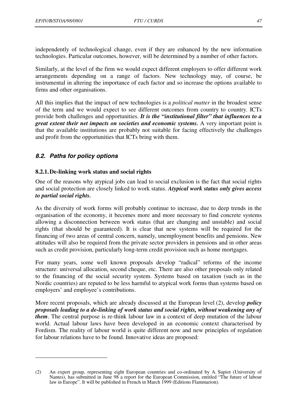<span id="page-47-0"></span>independently of technological change, even if they are enhanced by the new information technologies. Particular outcomes, however, will be determined by a number of other factors.

Similarly, at the level of the firm we would expect different employers to offer different work arrangements depending on a range of factors. New technology may, of course, be instrumental in altering the importance of each factor and so increase the options available to firms and other organisations.

All this implies that the impact of new technologies is a *political matter* in the broadest sense of the term and we would expect to see different outcomes from country to country. ICTs provide both challenges and opportunities. *It is the "institutional filter" that influences to a great extent their net impacts on societies and economic systems.* A very important point is that the available institutions are probably not suitable for facing effectively the challenges and profit from the opportunities that ICTs bring with them.

## *8.2. Paths for policy options*

 $\overline{a}$ 

#### **8.2.1. De-linking work status and social rights**

One of the reasons why atypical jobs can lead to social exclusion is the fact that social rights and social protection are closely linked to work status. *Atypical work status only gives access to partial social rights.*

As the diversity of work forms will probably continue to increase, due to deep trends in the organisation of the economy, it becomes more and more necessary to find concrete systems allowing a disconnection between work status (that are changing and unstable) and social rights (that should be guaranteed). It is clear that new systems will be required for the financing of two areas of central concern, namely, unemployment benefits and pensions. New attitudes will also be required from the private sector providers in pensions and in other areas such as credit provision, particularly long-term credit provision such as home mortgages.

For many years, some well known proposals develop "radical" reforms of the income structure: universal allocation, second cheque, etc. There are also other proposals only related to the financing of the social security system. Systems based on taxation (such as in the Nordic countries) are reputed to be less harmful to atypical work forms than systems based on employers' and employee's contributions.

More recent proposals, which are already discussed at the European level (2), develop *policy proposals leading to a de-linking of work status and social rights, without weakening any of them*. The central purpose is re-think labour law in a context of deep mutation of the labour world. Actual labour laws have been developed in an economic context characterised by Fordism. The reality of labour world is quite different now and new principles of regulation for labour relations have to be found. Innovative ideas are proposed:

<sup>(2)</sup> An expert group, representing eight European countries and co-ordinated by A. Supiot (University of Nantes), has submitted in June 98 a report for the European Commission, entitled "The future of labour law in Europe". It will be published in French in March 1999 (Editions Flammarion).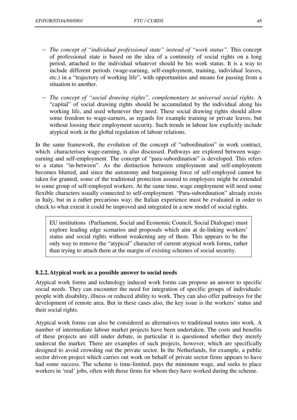- <span id="page-48-0"></span>− *The concept of "individual professional state" instead of "work status".* This concept of professional state is based on the idea of a continuity of social rights on a long period, attached to the individual whatever should be his work status. It is a way to include different periods (wage-earning, self-employment, training, individual leaves, etc.) in a "trajectory of working life", with opportunities and means for passing from a situation to another.
- − *The concept of "social drawing rights", complementary to universal social rights*. A "capital" of social drawing rights should be accumulated by the individual along his working life, and used whenever they need. These social drawing rights should allow some freedom to wage-earners, as regards for example training or private leaves, but without loosing their employment security. Such trends in labour law explicitly include atypical work in the global regulation of labour relations.

In the same framework, the evolution of the concept of "subordination" in work contract, which characterises wage-earning, is also discussed. Pathways are explored between wageearning and self-employment. The concept of "para-subordination" is developed. This refers to a status "in-between". As the distinction between employment and self-employment becomes blurred, and since the autonomy and bargaining force of self-employed cannot be taken for granted, some of the traditional protection assured to employees might be extended to some group of self-employed workers. At the same time, wage employment will need some flexible characters usually connected to self-employment. "Para-subordination" already exists in Italy, but in a rather precarious way; the Italian experience must be evaluated in order to check to what extent it could be improved and integrated in a new model of social rights.

EU institutions (Parliament, Social and Economic Council, Social Dialogue) must explore leading edge scenarios and proposals which aim at de-linking workers' status and social rights without weakening any of them. This appears to be the only way to remove the "atypical" character of current atypical work forms, rather than trying to attach them at the margin of existing schemes of social security.

#### **8.2.2. Atypical work as a possible answer to social needs**

Atypical work forms and technology induced work forms can propose an answer to specific social needs. They can encounter the need for integration of specific groups of individuals: people with disability, illness or reduced ability to work. They can also offer pathways for the development of remote area. But in these cases also, the key issue is the workers' status and their social rights.

Atypical work forms can also be considered as alternatives to traditional routes into work. A number of intermediate labour market projects have been undertaken. The costs and benefits of these projects are still under debate, in particular it is questioned whether they merely undercut the market. There are examples of such projects, however, which are specifically designed to avoid crowding out the private sector. In the Netherlands, for example, a public sector driven project which carries out work on behalf of private sector firms appears to have had some success. The scheme is time-limited, pays the minimum wage, and seeks to place workers in 'real' jobs, often with those firms for whom they have worked during the scheme.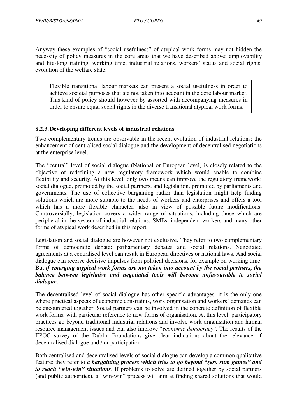<span id="page-49-0"></span>Anyway these examples of "social usefulness" of atypical work forms may not hidden the necessity of policy measures in the core areas that we have described above: employability and life-long training, working time, industrial relations, workers' status and social rights, evolution of the welfare state.

Flexible transitional labour markets can present a social usefulness in order to achieve societal purposes that ate not taken into account in the core labour market. This kind of policy should however by assorted with accompanying measures in order to ensure equal social rights in the diverse transitional atypical work forms.

#### **8.2.3. Developing different levels of industrial relations**

Two complementary trends are observable in the recent evolution of industrial relations: the enhancement of centralised social dialogue and the development of decentralised negotiations at the enterprise level.

The "central" level of social dialogue (National or European level) is closely related to the objective of redefining a new regulatory framework which would enable to combine flexibility and security. At this level, only two means can improve the regulatory framework: social dialogue, promoted by the social partners, and legislation, promoted by parliaments and governments. The use of collective bargaining rather than legislation might help finding solutions which are more suitable to the needs of workers and enterprises and offers a tool which has a more flexible character, also in view of possible future modifications. Controversially, legislation covers a wider range of situations, including those which are peripheral in the system of industrial relations: SMEs, independent workers and many other forms of atypical work described in this report.

Legislation and social dialogue are however not exclusive. They refer to two complementary forms of democratic debate: parliamentary debates and social relations. Negotiated agreements at a centralised level can result in European directives or national laws. And social dialogue can receive decisive impulses from political decisions, for example on working time. But *if emerging atypical work forms are not taken into account by the social partners, the balance between legislative and negotiated tools will become unfavourable to social dialogue*.

The decentralised level of social dialogue has other specific advantages: it is the only one where practical aspects of economic constraints, work organisation and workers' demands can be encountered together. Social partners can be involved in the concrete definition of flexible work forms, with particular reference to new forms of organisation. At this level, participatory practices go beyond traditional industrial relations and involve work organisation and human resource management issues and can also improve "*economic democracy*". The results of the EPOC survey of the Dublin Foundations give clear indications about the relevance of decentralised dialogue and / or participation.

Both centralised and decentralised levels of social dialogue can develop a common qualitative feature: they refer to *a bargaining process which tries to go beyond "zero sum games" and to reach "win-win" situations*. If problems to solve are defined together by social partners (and public authorities), a "win-win" process will aim at finding shared solutions that would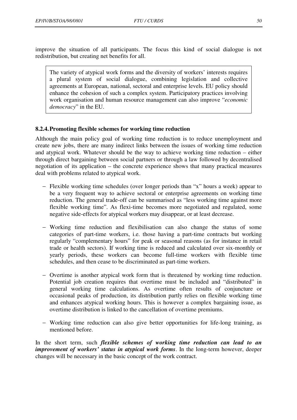<span id="page-50-0"></span>improve the situation of all participants. The focus this kind of social dialogue is not redistribution, but creating net benefits for all.

The variety of atypical work forms and the diversity of workers' interests requires a plural system of social dialogue, combining legislation and collective agreements at European, national, sectoral and enterprise levels. EU policy should enhance the cohesion of such a complex system. Participatory practices involving work organisation and human resource management can also improve "*economic democracy*" in the EU.

#### **8.2.4. Promoting flexible schemes for working time reduction**

Although the main policy goal of working time reduction is to reduce unemployment and create new jobs, there are many indirect links between the issues of working time reduction and atypical work. Whatever should be the way to achieve working time reduction – either through direct bargaining between social partners or through a law followed by decentralised negotiation of its application – the concrete experience shows that many practical measures deal with problems related to atypical work.

- − Flexible working time schedules (over longer periods than "x" hours a week) appear to be a very frequent way to achieve sectoral or enterprise agreements on working time reduction. The general trade-off can be summarised as "less working time against more flexible working time". As flexi-time becomes more negotiated and regulated, some negative side-effects for atypical workers may disappear, or at least decrease.
- − Working time reduction and flexibilisation can also change the status of some categories of part-time workers, i.e. those having a part-time contracts but working regularly "complementary hours" for peak or seasonal reasons (as for instance in retail trade or health sectors). If working time is reduced and calculated over six-monthly or yearly periods, these workers can become full-time workers with flexible time schedules, and then cease to be discriminated as part-time workers.
- − Overtime is another atypical work form that is threatened by working time reduction. Potential job creation requires that overtime must be included and "distributed" in general working time calculations. As overtime often results of conjuncture or occasional peaks of production, its distribution partly relies on flexible working time and enhances atypical working hours. This is however a complex bargaining issue, as overtime distribution is linked to the cancellation of overtime premiums.
- − Working time reduction can also give better opportunities for life-long training, as mentioned before.

In the short term, such *flexible schemes of working time reduction can lead to an improvement of workers' status in atypical work forms*. In the long-term however, deeper changes will be necessary in the basic concept of the work contract.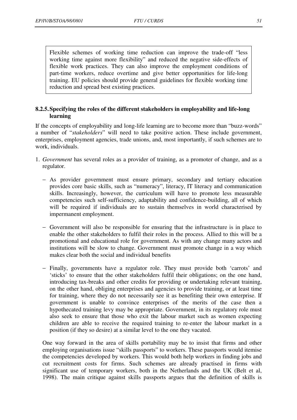<span id="page-51-0"></span>Flexible schemes of working time reduction can improve the trade-off "less working time against more flexibility" and reduced the negative side-effects of flexible work practices. They can also improve the employment conditions of part-time workers, reduce overtime and give better opportunities for life-long training. EU policies should provide general guidelines for flexible working time reduction and spread best existing practices.

#### **8.2.5. Specifying the roles of the different stakeholders in employability and life-long learning**

If the concepts of employability and long-life learning are to become more than "buzz-words" a number of "*stakeholders*" will need to take positive action. These include government, enterprises, employment agencies, trade unions, and, most importantly, if such schemes are to work, individuals.

- 1. *Government* has several roles as a provider of training, as a promoter of change, and as a regulator.
	- − As provider government must ensure primary, secondary and tertiary education provides core basic skills, such as "numeracy", literacy, IT literacy and communication skills. Increasingly, however, the curriculum will have to promote less measurable competencies such self-sufficiency, adaptability and confidence-building, all of which will be required if individuals are to sustain themselves in world characterised by impermanent employment.
	- − Government will also be responsible for ensuring that the infrastructure is in place to enable the other stakeholders to fulfil their roles in the process. Allied to this will be a promotional and educational role for government. As with any change many actors and institutions will be slow to change. Government must promote change in a way which makes clear both the social and individual benefits
	- − Finally, governments have a regulator role. They must provide both 'carrots' and 'sticks' to ensure that the other stakeholders fulfil their obligations; on the one hand, introducing tax-breaks and other credits for providing or undertaking relevant training, on the other hand, obliging enterprises and agencies to provide training, or at least time for training, where they do not necessarily see it as benefiting their own enterprise. If government is unable to convince enterprises of the merits of the case then a hypothecated training levy may be appropriate. Government, in its regulatory role must also seek to ensure that those who exit the labour market such as women expecting children are able to receive the required training to re-enter the labour market in a position (if they so desire) at a similar level to the one they vacated.

One way forward in the area of skills portability may be to insist that firms and other employing organisations issue "skills passports" to workers. These passports would itemise the competencies developed by workers. This would both help workers in finding jobs and cut recruitment costs for firms. Such schemes are already practised in firms with significant use of temporary workers, both in the Netherlands and the UK (Belt et al, 1998). The main critique against skills passports argues that the definition of skills is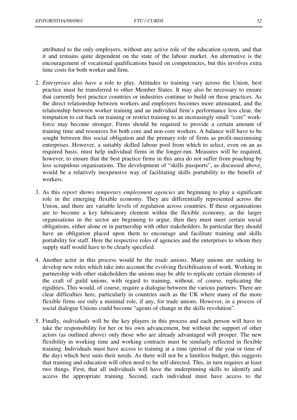attributed to the only employers, without any active role of the education system, and that it and remains quite dependent on the state of the labour market. An alternative is the encouragement of vocational qualifications based on competencies, but this involves extra time costs for both worker and firm.

- 2. *Enterprises* also *have* a role to play. Attitudes to training vary across the Union, best practice must be transferred to other Member States. It may also be necessary to ensure that currently best practice countries or industries continue to build on these practices. As the direct relationship between workers and employers becomes more attenuated, and the relationship between worker training and an individual firm's performance less clear, the temptation to cut back on training or restrict training to an increasingly small "core" workforce may become stronger. Firms should be required to provide a certain amount of training time and resources for both core and non-core workers. A balance will have to be sought between this social obligation and the primary role of firms as profit-maximising enterprises. However, a suitably skilled labour pool from which to select, even on an as required basis, must help individual firms in the longer-run. Measures will be required, however, to ensure that the best practice firms in this area do not suffer from poaching by less scrupulous organisations. The development of "skills passports", as discussed above, would be a relatively inexpensive way of facilitating skills portability to the benefit of workers.
- 3. As this *report* shows *temporary employment agencies* are beginning to play a significant role in the emerging flexible economy. They are differentially represented across the Union, and there are variable levels of regulation across countries. If these organisations are to become a key lubricatory element within the flexible economy, as the larger organisations in the sector are beginning to argue, then they must meet certain social obligations, either alone or in partnership with other stakeholders. In particular they should have an obligation placed upon them to encourage and facilitate training and skills portability for staff. Here the respective roles of agencies and the enterprises to whom they supply staff would have to be clearly specified.
- 4. Another actor in this process would be the *trade unions*. Many unions are seeking to develop new roles which take into account the evolving flexibilisation of work. Working in partnership with other stakeholders the unions may be able to replicate certain elements of the craft of guild unions, with regard to training, without, of course, replicating the rigidities. This would, of course, require a dialogue between the various partners. There are clear difficulties here, particularly in countries such as the UK where many of the more flexible firms see only a minimal role, if any, for trade unions. However, in a process of social dialogue Unions could become "agents of change in the skills revolution".
- 5. Finally, *individuals* will be the key players in this process and each person will have to take the responsibility for her or his own advancement, but without the support of other actors (as outlined above) only those who are already advantaged will prosper. The new flexibility in working time and working contracts must be similarly reflected in flexible training. Individuals must have access to training at a time (period of the year or time of the day) which best suits their needs. As there will not be a limitless budget, this suggests that training and education will often need to be self-directed. This, in turn requires at least two things. First, that all individuals will have the underpinning skills to identify and access the appropriate training. Second, each individual must have access to the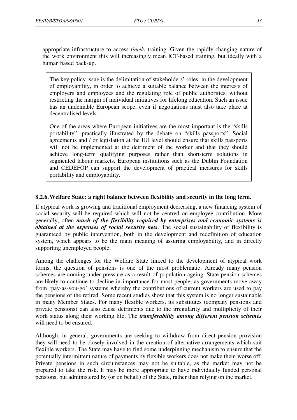<span id="page-53-0"></span>appropriate infrastructure to access *timely* training. Given the rapidly changing nature of the work environment this will increasingly mean ICT-based training, but ideally with a human based back-up.

The key policy issue is the delimitation of stakeholders' roles in the development of employability, in order to achieve a suitable balance between the interests of employers and employees and the regulating role of public authorities, without restricting the margin of individual initiatives for lifelong education. Such an issue has an undeniable European scope, even if negotiations must also take place at decentralised levels.

One of the areas where European initiatives are the most important is the "skills portability", practically illustrated by the debate on "skills passports". Social agreements and / or legislation at the EU level should ensure that skills passports will not be implemented at the detriment of the worker and that they should achieve long-term qualifying purposes rather than short-term solutions in segmented labour markets. European institutions such as the Dublin Foundation and CEDEFOP can support the development of practical measures for skills portability and employability.

#### **8.2.6. Welfare State: a right balance between flexibility and security in the long term.**

If atypical work is growing and traditional employment decreasing, a new financing system of social security will be required which will not be centred on employee contribution. More generally, often *much of the flexibility required by enterprises and economic systems is obtained at the expenses of social security nets*. The social sustainability of flexibility is guaranteed by public intervention, both in the development and redefinition of education system, which appears to be the main meaning of assuring employability, and in directly supporting unemployed people.

Among the challenges for the Welfare State linked to the development of atypical work forms, the question of pensions is one of the most problematic. Already many pension schemes are coming under pressure as a result of population ageing. State pension schemes are likely to continue to decline in importance for most people, as governments move away from 'pay-as-you-go' systems whereby the contributions of current workers are used to pay the pensions of the retired. Some recent studies show that this system is no longer sustainable in many Member States. For many flexible workers, its substitutes (company pensions and private pensions) can also cause detriments due to the irregularity and multiplicity of their work status along their working life. The *transferability among different pension schemes*  will need to be ensured.

Although, in general, governments are seeking to withdraw from direct pension provision they will need to be closely involved in the creation of alternative arrangements which suit flexible workers. The State may have to find some underpinning mechanism to ensure that the potentially intermittent nature of payments by flexible workers does not make them worse off. Private pensions in such circumstances may not be suitable, as the market may not be prepared to take the risk. It may be more appropriate to have individually funded personal pensions, but administered by (or on behalf) of the State, rather than relying on the market.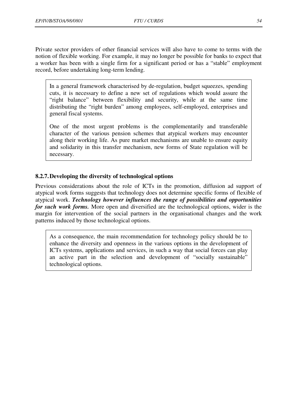<span id="page-54-0"></span>Private sector providers of other financial services will also have to come to terms with the notion of flexible working. For example, it may no longer be possible for banks to expect that a worker has been with a single firm for a significant period or has a "stable" employment record, before undertaking long-term lending.

In a general framework characterised by de-regulation, budget squeezes, spending cuts, it is necessary to define a new set of regulations which would assure the "right balance" between flexibility and security, while at the same time distributing the "right burden" among employees, self-employed, enterprises and general fiscal systems.

One of the most urgent problems is the complementarily and transferable character of the various pension schemes that atypical workers may encounter along their working life. As pure market mechanisms are unable to ensure equity and solidarity in this transfer mechanism, new forms of State regulation will be necessary.

## **8.2.7. Developing the diversity of technological options**

Previous considerations about the role of ICTs in the promotion, diffusion ad support of atypical work forms suggests that technology does not determine specific forms of flexible of atypical work. *Technology however influences the range of possibilities and opportunities for such work forms.* More open and diversified are the technological options, wider is the margin for intervention of the social partners in the organisational changes and the work patterns induced by those technological options.

As a consequence, the main recommendation for technology policy should be to enhance the diversity and openness in the various options in the development of ICTs systems, applications and services, in such a way that social forces can play an active part in the selection and development of "socially sustainable" technological options.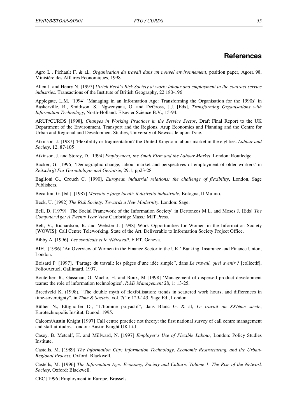<span id="page-55-0"></span>Agro L., Pichault F. & al., *Organisation du travail dans un nouvel environnement*, position paper, Agora 98, Ministère des Affaires Economiques, 1998.

Allen J. and Henry N. [1997] *Ulrich Beck's Risk Society at work: labour and employment in the contract service industries*. Transactions of the Institute of British Geography, 22 180-196

Applegate, L.M. [1994] 'Managing in an Information Age: Transforming the Organisation for the 1990s' in Baskerville, R., Smithson, S., Ngwenyana, O. and DeGross, J.J. [Eds], *Transforming Organisations with Information Technology*, North-Holland: Elsevier Science B.V., 15-94.

ARUP/CURDS [1998], *Changes in Working Practices in the Service Sector*, Draft Final Report to the UK Department of the Environment, Transport and the Regions. Arup Economics and Planning and the Centre for Urban and Regional and Development Studies, University of Newcastle upon Tyne.

Atkinson, J. [1987] 'Flexibility or fragmentation? the United Kingdom labour market in the eighties. *Labour and Society*, 12, 87-105

Atkinson, J. and Storey, D. [1994] *Employment, the Small Firm and the Labour Market*. London: Routledge.

Backer, G. [1996] 'Demographic change, labour market and perspectives of employment of older workers' in *Zeitschrift Fur Gerontologie und Geriatrie*, 29.1, pp23-28

Baglioni G., Crouch C. [1990], *European industrial relations: the challenge of flexibility*, London, Sage Publishers.

Becattini, G. [éd.], [1987] *Mercato e forze locali: il distretto industriale*, Bologna, Il Mulino.

Beck, U. [1992] *The Risk Society: Towards a New Modernity*. London: Sage.

Bell, D. [1979] 'The Social Framework of the Information Society' in Dertonzos M.L. and Moses J. [Eds] *The Computer Age: A Twenty Year View* Cambridge Mass.: MIT Press.

Belt, V., Richardson, R. and Webster J. [1998] Work Opportunities for Women in the Information Society [WOWIS]: Call Centre Teleworking. State of the Art. Deliverable to Information Society Project Office.

Bibby A. [1996], *Les syndicats et le télétravail*, FIET, Geneva.

BIFU [1996] 'An Overview of Women in the Finance Sector in the UK.' Banking, Insurance and Finance Union, London.

Boisard P. [1997], "Partage du travail: les pièges d'une idée simple", dans *Le travail, quel avenir ?* [collectif], Folio/Actuel, Gallimard, 1997.

Boutellier, R., Gassman, O. Macho, H. and Roux, M [1998] 'Management of dispersed product development teams: the role of information technologies', *R&D Management* 28, 1: 13-25.

Breedveld K. (1998), "The double myth of flexibilisation: trends in scattered work hours, and differences in time-sovereignty", in *Time & Society*, vol. 7(1): 129-143, Sage Ed., London.

Bülher N., Ettighoffer D., "L'homme polyactif", dans Blanc G. & al, *Le travail au XXIème siècle*, Eurotechnopolis Institut, Dunod, 1995.

Calcom/Austin Knight [1997] Call centre practice not theory: the first national survey of call centre management and staff attitudes. London: Austin Knight UK Ltd

Casey, B. Metcalf, H. and Millward, N. [1997] *Employer's Use of Flexible Labour*, London: Policy Studies Institute.

Castells, M. [1989] *The Information City: Information Technology, Economic Restructuring, and the Urban-Regional Process,* Oxford: Blackwell.

Castells, M. [1996] *The Information Age: Economy, Society and Culture, Volume 1. The Rise of the Network Society*, Oxford: Blackwell.

CEC [1996] Employment in Europe, Brussels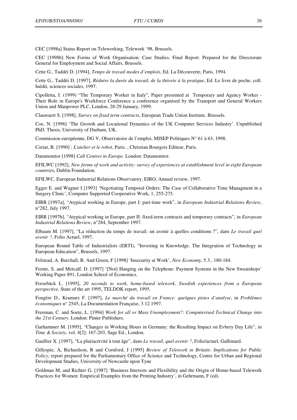CEC [1998a] Status Report on Teleworking, Telework '98, Brussels.

CEC [1998b] New Forms of Work Organisation: Case Studies. Final Report. Prepared for the Directorate General for Employment and Social Affairs, Brussels.

Cette G., Taddéi D. [1994], *Temps de travail modes d'emplois*, Ed. La Découverte, Paris, 1994.

Cette G., Taddéi D. [1997], *Réduire la durée du travail, de la théorie à la pratique*, Ed. Le livre de poche, coll. Inédit, sciences sociales, 1997.

Cipolletta, I. (1999) "The Temporary Worker in Italy", Paper presented at Temporary and Agency Worker - Their Role in Europe's Workforce Conference a conference organised by the Transport and General Workers Union and Manpower PLC, London, 28-29 January, 1999.

Clauwaert S. [1998], *Survey on fixed term contracts*, European Trade Union Institute, Brussels.

Coe, N. [1996] 'The Growth and Locational Dynamics of the UK Computer Services Industry'. Unpublished PhD. Thesis, University of Durham, UK.

Commission européenne, DG V, Observatoire de l'emploi, MISEP Politiques N° 61 à 63, 1998.

Coriat, B. [1990] : *L'atelier et le robot*, Paris. , Christian Bourgois Editeur, Paris.

Datamonitor [1998] *Call Centres in Europe*. London: Datamonitor.

EFILWC [1992], *New forms of work and activity: survey of experiences at establishment level in eight European countrie*s, Dublin Foundation.

EFILWC, European Industrial Relations Observatory, EIRO, Annual review, 1997.

Egger E. and Wagner I [1993] 'Negotiating Temporal Orders: The Case of Collaborative Time Managment in a Surgery Clinic', Computer Supported Cooperative Work, 1, 255-275.

EIRR [1997a], "Atypical working in Europe, part I: part-time work", in *European Industrial Relations Review*, n°282, July 1997.

EIRR [1997b], "Atypical working in Europe, part II: fixed-term contracts and temporary contracts", in *European Industrial Relations Review*, n°284, September 1997.

Elbaum M. [1997], "La réduction du temps de travail: un avenir à quelles conditions ?", dans *Le travail quel avenir ?*, Folio Actuel, 1997.

European Round Table of Industrialists (ERTI), "Investing in Knowledge. The Integration of Technology in European Education", Brussels, 1997.

Felstead, A. Burchall, B. And Green, F [1998] 'Insecurity at Work', *New Econom*y, 5.3., 180-184.

Fernie, S. and Metcalf, D. [1997] '[Not] Hanging on the Telephone: Payment Systems in the New Sweatshops' Working Paper 891, London School of Economics.

Forsebäck L. [1995], *20 seconds to work, home-based telework, Swedish experiences from a European perspective*, State of the art 1995, TELDOK report, 1995.

Fougère D., Kramarz F. [1997], *Le marché du travail en France: quelques pistes d'analyse*, in *Problèmes économiques* n° 2545, La Documentation Française, 3.12.1997.

Freeman, C. and Soete, L. [1994] *Work for all or Mass Unemployment?: Computerised Technical Change into the 21st Century.* London: Pinter Publishers.

Garhammer M. [1995], "Changes in Working Hours in Germany: the Resulting Impact on Evbery Day Life", in *Time & Society*, vol. 4[2]: 167-203, Sage Ed., London.

Gaullier X. [1997], "La pluriactivité à tout âge", dans *Le travail, quel avenir ?*, Folio/actuel, Gallimard.

Gillespie, A, Richardson, R and Cornford, J [1995] *Review of Telework in Britain: Implications for Public Policy*, report prepared for the Parliamentary Office of Science and Technology, Centre for Urban and Regional Development Studies, University of Newcastle upon Tyne

Goldman M, and Richter G. [1987] 'Business Interests and Flexibility and the Origin of Home-based Telework Practices for Women: Empirical Examples from the Printing Industry', in Gehrmann, F (ed).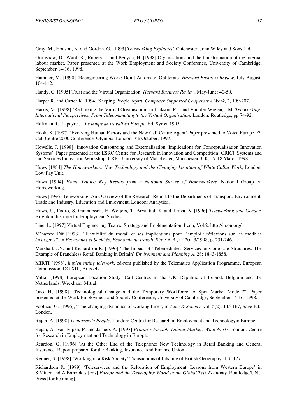Gray, M., Hodson, N. and Gordon, G. [1993] *Teleworking Explained.* Chichester: John Wiley and Sons Ltd.

Grimshaw, D., Ward, K., Rubery, J. and Benyon, H. [1998] Organisations and the transformation of the internal labour market. Paper presented at the Work Employment and Society Conference, University of Cambridge, September 14-16, 1998.

Hammer, M. [1990] 'Reengineering Work: Don't Automate, Obliterate' *Harvard Business Review*, July-August, 104-112.

Handy, C. [1995] Trust and the Virtual Organization, *Harvard Business Review*, May-June: 40-50.

Harper R. and Carter K [1994] Keeping People Apart, *Computer Supported Cooperative Work*, 2, 199-207.

Harris, M. [1998] 'Rethinking the Virtual Organisation' in Jackson, P.J. and Van der Wielen, J.M. *Teleworking: International Perspectives: From Telecommuting to the Virtual Organisation, London: Routledge, pp 74-92.* 

Hoffman R., Lapeyre J., *Le temps de travail en Europe*, Ed. Syros, 1995.

Hook, K. [1997] 'Evolving Human Factors and the New Call Centre Agent' Paper presented to Voice Europe 97, Call Centre 2000 Conference. Olympia, London, 7th October, 1997.

Howells, J. [1998] 'Innovation Outsourcing and Externalisation: Implications for Conceptualisation Innovation Systems'. Paper presented at the ESRC Centre for Research in Innovation and Competition [CRIC], Systems and and Services Innovation Workshop, CRIC, University of Manchester, Manchester, UK, 17-18 March 1998.

Huws [1984] *The Homeworkers: New Technology and the Changing Location of White Collar Work*, London, Low Pay Unit.

Huws [1994] *Home Truths: Key Results from a National Survey of Homeworkers,* National Group on Homeworking.

Huws [1996] Teleworking: An Overview of the Research. Report to the Departments of Transport, Environment, Trade and Industry, Education and Emloyment, London: Analytica.

Huws, U, Podro, S, Gunnarsson, E, Weijers, T, Arvantial, K and Trova, V [1996] *Teleworking and Gender*, Brighton, Institute for Employment Studies

Line, L. [1997] Virtual Engineering Teams: Strategy and Implementation. Itcon, Vol.2, http://itcon.org/

M'hamed Dif [1998], "Flexibilité du travail et ses implications pour l'emploi : réflexions sur les modèles émergents", in *Economies et Sociétés, Economie du travail*, Série A.B., n° 20 , 3/1998, p. 231-246.

Marshall, J.N. and Richardson R. [1996] 'The Impact of 'Telemediated' Services on Corporate Structures: The Example of Branchless Retail Banking in Britain' *Environment and Planning A*. 28: 1843-1858.

MIRTI [1998], *Implementing telework*, cd-rom published by the Telematics Application Programme, European Commission, DG XIII, Brussels.

Mitial [1998] European Location Study: Call Centres in the UK, Republic of Ireland, Belgium and the Netherlands. Wrexham: Mitial.

Ono, H, [1998] "Technological Change and the Temporary Workforce: A Spot Market Model ?", Paper presented at the Work Employment and Society Conference, University of Cambridge, September 14-16, 1998.

Paolucci G. (1996), "The changing dynamics of working time", in *Time & Society*, vol. 5(2): 145-167, Sage Ed., London.

Rajan, A. [1998] *Tomorrow's People*. London: Centre for Research in Employment and Technologyin Europe.

Rajan, A., van Eupen, P. and Jaspers A. [1997] *Britain's Flexible Labour Market: What Next?* London: Centre for Research in Employment and Technology in Europe.

Reardon, G. [1996] 'At the Other End of the Telephone: New Technology in Retail Banking and General Insurance. Report prepared for the Banking, Insurance And Finance Union.

Reimer, S. [1998] 'Working in a Risk Society' Transactions of Intsitute of British Geography, 116-127.

Richardson R. [1999] 'Teleservices and the Relocation of Employment: Lessons from Western Europe' in S.Mitter and A Bartzokas [eds] *Europe and the Developing World in the Global Tele Economy,* Routledge/UNU Press [forthcoming].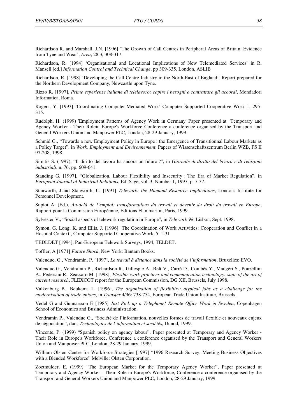Richardson R. and Marshall, J.N. [1996] 'The Growth of Call Centres in Peripheral Areas of Britain: Evidence from Tyne and Wear', *Area*, 28.3, 308-317.

Richardson, R. [1994] 'Organisational and Locational Implications of New Telemediated Services' in R. Mansell [ed.] *Information Control and Technical Change*, pp 309-335. London, ASLIB

Richardson, R. [1998] 'Developing the Call Centre Industry in the North-East of England'. Report prepared for the Northern Development Company, Newcastle upon Tyne.

Rizzo R. [1997], *Prime esperienze italiane di telelavoro: capire i besogni e contrattare gli accordi*, Mondadori Informatica, Roma.

Rogers, Y. [1993] 'Coordinating Computer-Mediated Work' Computer Supported Cooperative Work 1, 295- 315.

Rudolph, H. (1999) 'Employment Patterns of Agency Work in Germany' Paper presented at Temporary and Agency Worker - Their Rolein Europe's Workforce Conference a conference organised by the Transport and General Workers Union and Manpower PLC, London, 28-29 January, 1999.

Schmid G., "Towards a new Employment Policy in Europe : the Emergence of Transitionnal Labour Markets as a Policy Target", in *Work, Employment and Environnement*, Papers of Wissenschaftszentrum Berlin WZB, FS II 97-208, 1998.

Simitis S. (1997), "Il diritto del lavoro ha ancora un futuro ?", in *Giornale di diritto del lavoro e di relazioni industriali*, n. 76, pp. 609-641.

Standing G. [1997], "Globalization, Labour Flexibility and Insecurity : The Era of Market Regulation", in *European Journal of Industrial Relations*, Ed. Sage, vol. 3, Number 1, 1997, p. 7-37.

Stanworth, J.and Stanworth, C. [1991] *Telework: the Humand Resource Implications*, London: Institute for Personnel Development.

Supiot A. (Ed.), *Au-delà de l'emploi: transformations du travail et devenir du droit du travail en Europe*, Rapport pour la Commission Européenne, Editions Flammarion, Paris, 1999.

Sylvester V., "Social aspects of telework regulation in Europe", in *Telework 98*, Lisbon, Sept. 1998.

Symon, G. Long, K. and Ellis, J. [1996] 'The Coordination of Work Activities: Cooperation and Conflict in a Hospital Context', Computer Supported Cooperative Work, 5. 1-31

TEDLDET [1994], Pan-European Telework Surveys, 1994, TELDET.

Toffler, A [1971] *Future Shock*, New York: Bantam Books.

Valenduc, G., Vendramin, P. [1997], *Le travail à distance dans la société de l'information*, Bruxelles: EVO.

Valenduc G., Vendramin P., Richardson R., Gillespie A., Belt V., Carré D., Combès Y., Maugéri S., Ponzellini A., Pedersini R., Seassaro M. [1998], *Flexible work practices and communication technology: state of the art of current research*, FLEXCOT report for the European Commission, DG XII, Brussels, July 1998.

Valkenburg B., Beukema L. [1996], *The organisation of flexibility: atypical jobs as a challenge for the modernisation of trade unions*, in *Transfer* 4/96: 738-754, European Trade Union Institute, Brussels.

Vedel G and Gunnarsson E [1985] *Just Pick up a Telephone! Remote Office Work in Sweden*, Copenhagen School of Economics and Business Administration.

Vendramin P., Valenduc G., "Société de l'information, nouvelles formes de travail flexible et nouveaux enjeux de négociation", dans *Technologies de l'information et sociétés*, Dunod, 1999.

Vincente, P. (1999) "Spanish policy on agency labour". Paper presented at Temporary and Agency Worker - Their Role in Europe's Workforce, Conference a conference organised by the Transport and General Workers Union and Manpower PLC, London, 28-29 January, 1999.

William Olsten Centre for Workforce Strategies [1997] "1996 Research Survey: Meeting Business Objectives with a Blended Workforce" Melville: Olsten Corporation.

Zoetmulder, E. (1999) "The European Market for the Temporary Agency Worker", Paper presented at Temporary and Agency Worker - Their Role in Europe's Workforce, Conference a conference organised by the Transport and General Workers Union and Manpower PLC, London, 28-29 January, 1999.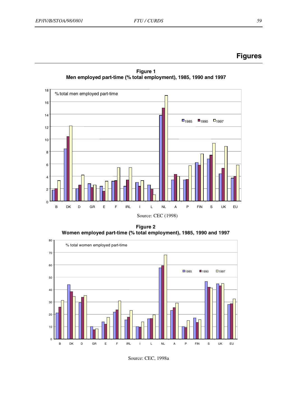

<span id="page-59-0"></span>

**Figure 2 Women employed part-time (% total employment), 1985, 1990 and 1997**



Source: CEC, 1998a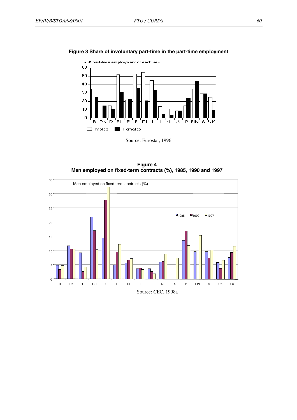

#### **Figure 3 Share of involuntary part-time in the part-time employment**



**Figure 4 Men employed on fixed-term contracts (%), 1985, 1990 and 1997**

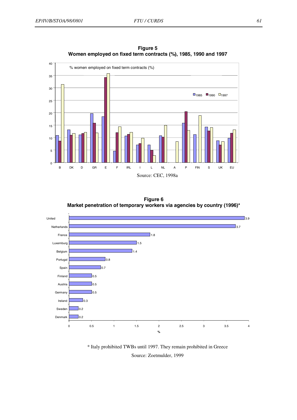

**Figure 5 Women employed on fixed term contracts (%), 1985, 1990 and 1997**

**Figure 6 Market penetration of temporary workers via agencies by country (1996)\***



\* Italy prohibited TWBs until 1997. They remain prohibited in Greece

Source: Zoetmulder, 1999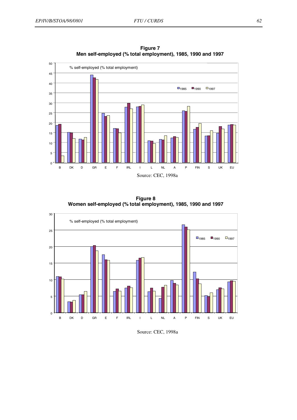

**Figure 7 Men self-employed (% total employment), 1985, 1990 and 1997**

**Figure 8 Women self-employed (% total employment), 1985, 1990 and 1997**



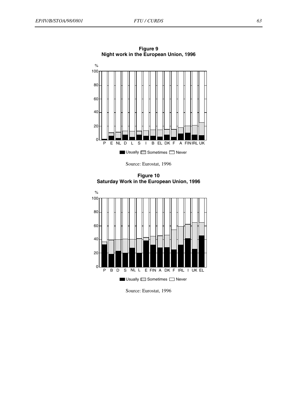

**Figure 9 Night work in the European Union, 1996** 

Source: Eurostat, 1996

**Figure 10 Saturday Work in the European Union, 1996** 



Source: Eurostat, 1996